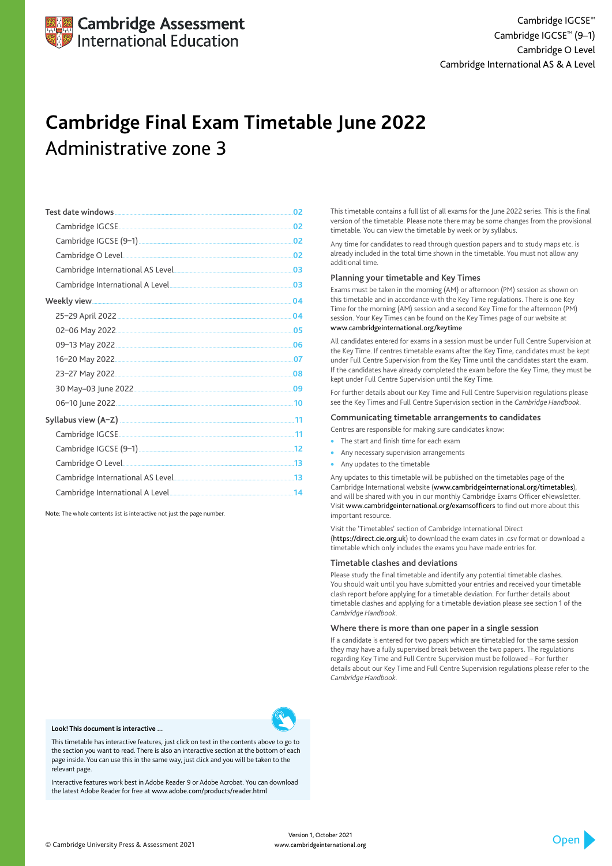| 02  |
|-----|
| 02  |
| 02  |
| 02  |
| 03  |
| 03  |
| 04  |
| 04  |
| .05 |
| .06 |
| 07  |
| 08  |
| .09 |
|     |
|     |
|     |
|     |
|     |
|     |
|     |

- The start and finish time for each exam
- Any necessary supervision arrangements
- Any updates to the timetable

Note: The whole contents list is interactive not just the page number.

This timetable contains a full list of all exams for the June 2022 series. This is the final version of the timetable. Please note there may be some changes from the provisional timetable. You can view the timetable by week or by syllabus.

Any time for candidates to read through question papers and to study maps etc. is already included in the total time shown in the timetable. You must not allow any additional time.

### **Planning your timetable and Key Times**

Exams must be taken in the morning (AM) or afternoon (PM) session as shown on this timetable and in accordance with the Key Time regulations. There is one Key Time for the morning (AM) session and a second Key Time for the afternoon (PM) session. Your Key Times can be found on the Key Times page of our website at www.cambridgeinternational.org/keytime

All candidates entered for exams in a session must be under Full Centre Supervision at the Key Time. If centres timetable exams after the Key Time, candidates must be kept under Full Centre Supervision from the Key Time until the candidates start the exam. If the candidates have already completed the exam before the Key Time, they must be kept under Full Centre Supervision until the Key Time.

For further details about our Key Time and Full Centre Supervision regulations please see the Key Times and Full Centre Supervision section in the *Cambridge Handbook*.

#### **Communicating timetable arrangements to candidates**

Centres are responsible for making sure candidates know:

Any updates to this timetable will be published on the timetables page of the Cambridge International website (www.cambridgeinternational.org/timetables), and will be shared with you in our monthly Cambridge Exams Officer eNewsletter. Visit www.cambridgeinternational.org/examsofficers to find out more about this important resource.

Visit the 'Timetables' section of Cambridge International Direct (https://direct.cie.org.uk) to download the exam dates in .csv format or download a timetable which only includes the exams you have made entries for.

#### **Timetable clashes and deviations**

Please study the final timetable and identify any potential timetable clashes. You should wait until you have submitted your entries and received your timetable clash report before applying for a timetable deviation. For further details about timetable clashes and applying for a timetable deviation please see section 1 of the *Cambridge Handbook*.

#### **Where there is more than one paper in a single session**

If a candidate is entered for two papers which are timetabled for the same session they may have a fully supervised break between the two papers. The regulations

regarding Key Time and Full Centre Supervision must be followed – For further details about our Key Time and Full Centre Supervision regulations please refer to the *Cambridge Handbook*.



## **Cambridge Final Exam Timetable June 2022** Administrative zone 3

© Cambridge University Press & Assessment 2021

#### **Look! This document is interactive ...**

This timetable has interactive features, just click on text in the contents above to go to the section you want to read. There is also an interactive section at the bottom of each page inside. You can use this in the same way, just click and you will be taken to the relevant page.

Interactive features work best in Adobe Reader 9 or Adobe Acrobat. You can download the latest Adobe Reader for free at www.adobe.com/products/reader.html

> Version 1, October 2021 www.cambridgeinternational.org

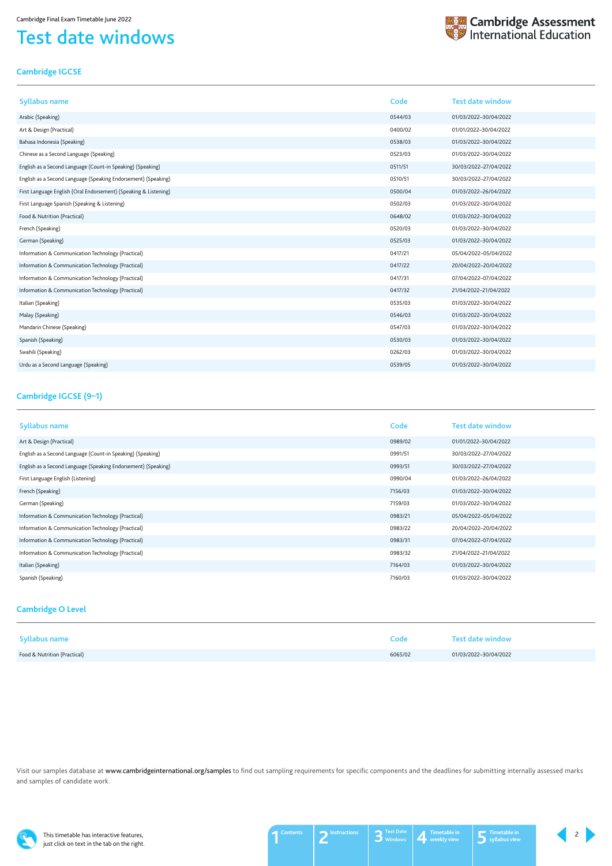This timetable has interactive features, just click on text in the tab on the right.

## <span id="page-1-0"></span>Test date windows



## <span id="page-1-1"></span>**Cambridge IGCSE**

| <b>Syllabus name</b>                                             | Code    | <b>Test date window</b> |
|------------------------------------------------------------------|---------|-------------------------|
| Arabic (Speaking)                                                | 0544/03 | 01/03/2022-30/04/2022   |
| Art & Design (Practical)                                         | 0400/02 | 01/01/2022-30/04/2022   |
| Bahasa Indonesia (Speaking)                                      | 0538/03 | 01/03/2022-30/04/2022   |
| Chinese as a Second Language (Speaking)                          | 0523/03 | 01/03/2022-30/04/2022   |
| English as a Second Language (Count-in Speaking) (Speaking)      | 0511/51 | 30/03/2022-27/04/2022   |
| English as a Second Language (Speaking Endorsement) (Speaking)   | 0510/51 | 30/03/2022-27/04/2022   |
| First Language English (Oral Endorsement) (Speaking & Listening) | 0500/04 | 01/03/2022-26/04/2022   |
| First Language Spanish (Speaking & Listening)                    | 0502/03 | 01/03/2022-30/04/2022   |
| Food & Nutrition (Practical)                                     | 0648/02 | 01/03/2022-30/04/2022   |
| French (Speaking)                                                | 0520/03 | 01/03/2022-30/04/2022   |
| German (Speaking)                                                | 0525/03 | 01/03/2022-30/04/2022   |
| Information & Communication Technology (Practical)               | 0417/21 | 05/04/2022-05/04/2022   |
| Information & Communication Technology (Practical)               | 0417/22 | 20/04/2022-20/04/2022   |
| Information & Communication Technology (Practical)               | 0417/31 | 07/04/2022-07/04/2022   |
| Information & Communication Technology (Practical)               | 0417/32 | 21/04/2022-21/04/2022   |
| Italian (Speaking)                                               | 0535/03 | 01/03/2022-30/04/2022   |
| Malay (Speaking)                                                 | 0546/03 | 01/03/2022-30/04/2022   |
| Mandarin Chinese (Speaking)                                      | 0547/03 | 01/03/2022-30/04/2022   |
| Spanish (Speaking)                                               | 0530/03 | 01/03/2022-30/04/2022   |
| Swahili (Speaking)                                               | 0262/03 | 01/03/2022-30/04/2022   |
| Urdu as a Second Language (Speaking)                             | 0539/05 | 01/03/2022-30/04/2022   |

Visit our samples database at www.cambridgeinternational.org/samples to find out sampling requirements for specific components and the deadlines for submitting internally assessed marks and samples of candidate work.



### <span id="page-1-3"></span>**Cambridge O Level**

| <b>Syllabus name</b>         | Code    | Test date window      |
|------------------------------|---------|-----------------------|
| Food & Nutrition (Practical) | 6065/02 | 01/03/2022-30/04/2022 |

| <b>Syllabus name</b>                                           | Code    | <b>Test date window</b> |
|----------------------------------------------------------------|---------|-------------------------|
| Art & Design (Practical)                                       | 0989/02 | 01/01/2022-30/04/2022   |
| English as a Second Language (Count-in Speaking) (Speaking)    | 0991/51 | 30/03/2022-27/04/2022   |
| English as a Second Language (Speaking Endorsement) (Speaking) | 0993/51 | 30/03/2022-27/04/2022   |
| First Language English (Listening)                             | 0990/04 | 01/03/2022-26/04/2022   |
| French (Speaking)                                              | 7156/03 | 01/03/2022-30/04/2022   |
| German (Speaking)                                              | 7159/03 | 01/03/2022-30/04/2022   |
| Information & Communication Technology (Practical)             | 0983/21 | 05/04/2022-05/04/2022   |
| Information & Communication Technology (Practical)             | 0983/22 | 20/04/2022-20/04/2022   |
| Information & Communication Technology (Practical)             | 0983/31 | 07/04/2022-07/04/2022   |
| Information & Communication Technology (Practical)             | 0983/32 | 21/04/2022-21/04/2022   |
| Italian (Speaking)                                             | 7164/03 | 01/03/2022-30/04/2022   |
| Spanish (Speaking)                                             | 7160/03 | 01/03/2022-30/04/2022   |

## <span id="page-1-2"></span>**Cambridge IGCSE (9–1)**

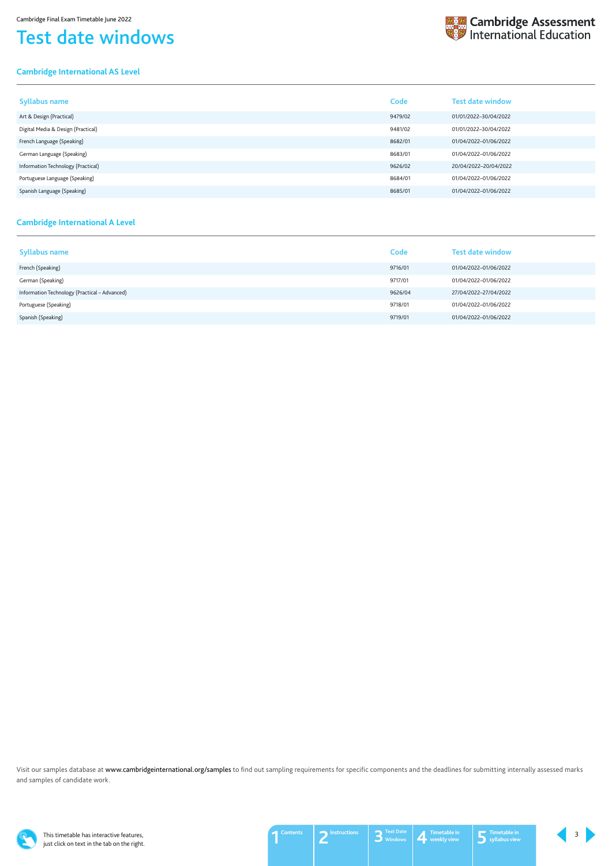This timetable has interactive features, just click on text in the tab on the right.

## Test date windows

## <span id="page-2-0"></span>**Cambridge International AS Level**



| <b>Syllabus name</b>               | Code    | <b>Test date window</b> |
|------------------------------------|---------|-------------------------|
| Art & Design (Practical)           | 9479/02 | 01/01/2022-30/04/2022   |
| Digital Media & Design (Practical) | 9481/02 | 01/01/2022-30/04/2022   |
| French Language (Speaking)         | 8682/01 | 01/04/2022-01/06/2022   |
| German Language (Speaking)         | 8683/01 | 01/04/2022-01/06/2022   |
| Information Technology (Practical) | 9626/02 | 20/04/2022-20/04/2022   |
| Portuguese Language (Speaking)     | 8684/01 | 01/04/2022-01/06/2022   |
| Spanish Language (Speaking)        | 8685/01 | 01/04/2022-01/06/2022   |

Visit our samples database at www.cambridgeinternational.org/samples to find out sampling requirements for specific components and the deadlines for submitting internally assessed marks and samples of candidate work.



#### <span id="page-2-1"></span>**Cambridge International A Level**

| <b>Syllabus name</b>                          | Code    | <b>Test date window</b> |
|-----------------------------------------------|---------|-------------------------|
| French (Speaking)                             | 9716/01 | 01/04/2022-01/06/2022   |
| German (Speaking)                             | 9717/01 | 01/04/2022-01/06/2022   |
| Information Technology (Practical - Advanced) | 9626/04 | 27/04/2022-27/04/2022   |
| Portuguese (Speaking)                         | 9718/01 | 01/04/2022-01/06/2022   |
| Spanish (Speaking)                            | 9719/01 | 01/04/2022-01/06/2022   |

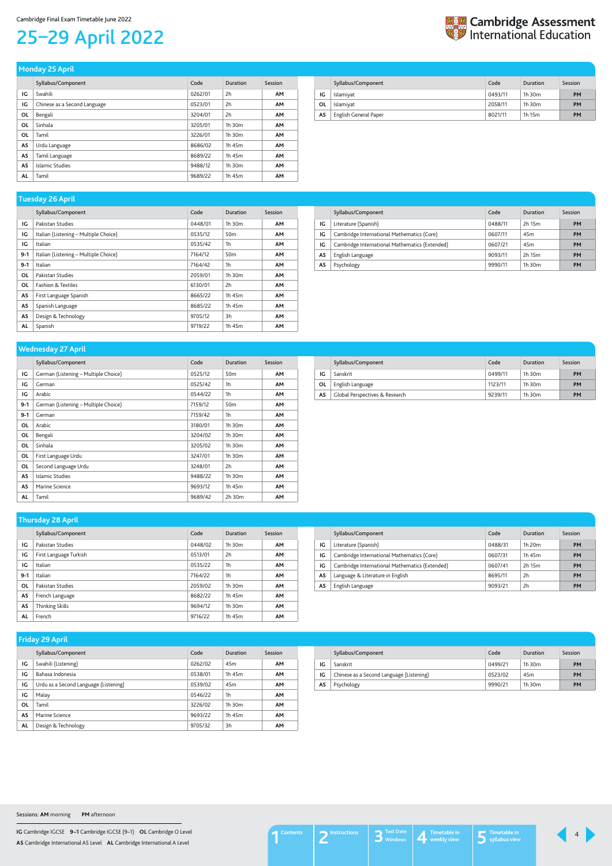**IG** Cambridge IGCSE **9–1** Cambridge IGCSE (9–1) **OL** Cambridge O Level **AS** Cambridge International AS Level **AL** Cambridge International A Level

## <span id="page-3-1"></span>25–29 April 2022



|           | Syllabus/Component           | Code    | <b>Duration</b> | Session   |
|-----------|------------------------------|---------|-----------------|-----------|
| ΙG        | Swahili                      | 0262/01 | 2h              | <b>AM</b> |
| IG        | Chinese as a Second Language | 0523/01 | 2h              | <b>AM</b> |
| OL        | Bengali                      | 3204/01 | 2h              | <b>AM</b> |
| OL        | Sinhala                      | 3205/01 | 1h 30m          | <b>AM</b> |
| OL        | Tamil                        | 3226/01 | 1h 30m          | <b>AM</b> |
| AS        | Urdu Language                | 8686/02 | 1h 45m          | <b>AM</b> |
| AS        | Tamil Language               | 8689/22 | 1h 45m          | <b>AM</b> |
| AS        | Islamic Studies              | 9488/12 | 1h 30m          | <b>AM</b> |
| <b>AL</b> | Tamil                        | 9689/22 | 1h 45m          | <b>AM</b> |

#### **Monday 25 April**

<span id="page-3-0"></span>

|    | Syllabus/Component    | Code    | Duration    | Session   |
|----|-----------------------|---------|-------------|-----------|
| IG | Islamiyat             | 0493/11 | $1h$ 30 $m$ | PM        |
| OL | Islamiyat             | 2058/11 | $1h$ 30 $m$ | PM        |
| AS | English General Paper | 8021/11 | 1h 15m      | <b>PM</b> |

| $1.9999997 = 0.19111$                 |         |                 |           |  |  |
|---------------------------------------|---------|-----------------|-----------|--|--|
| Syllabus/Component                    | Code    | Duration        | Session   |  |  |
| Pakistan Studies                      | 0448/01 | 1h 30m          | <b>AM</b> |  |  |
| Italian (Listening - Multiple Choice) | 0535/12 | 50 <sub>m</sub> | <b>AM</b> |  |  |
| Italian                               | 0535/42 | 1 <sub>h</sub>  | <b>AM</b> |  |  |
| Italian (Listening - Multiple Choice) | 7164/12 | 50 <sub>m</sub> | <b>AM</b> |  |  |
| Italian                               | 7164/42 | 1 <sub>h</sub>  | <b>AM</b> |  |  |
| Pakistan Studies                      | 2059/01 | 1h 30m          | <b>AM</b> |  |  |
| <b>Fashion &amp; Textiles</b>         | 6130/01 | 2h              | <b>AM</b> |  |  |
| First Language Spanish                | 8665/22 | 1h 45m          | <b>AM</b> |  |  |
| Spanish Language                      | 8685/22 | 1h 45m          | <b>AM</b> |  |  |
| Design & Technology                   | 9705/12 | 3h              | <b>AM</b> |  |  |
| Spanish                               | 9719/22 | 1h 45m          | <b>AM</b> |  |  |
|                                       |         |                 |           |  |  |

#### **Tuesday 26 April**

|    | Syllabus/Component                             | Code    | Duration        | Session   |
|----|------------------------------------------------|---------|-----------------|-----------|
| IG | Literature (Spanish)                           | 0488/11 | 2h 15m          | <b>PM</b> |
| IG | Cambridge International Mathematics (Core)     | 0607/11 | 45 <sub>m</sub> | PM        |
| IG | Cambridge International Mathematics (Extended) | 0607/21 | 45 <sub>m</sub> | <b>PM</b> |
| AS | English Language                               | 9093/11 | 2h 15m          | PM        |
| AS | Psychology                                     | 9990/11 | $1h$ 30 $m$     | <b>PM</b> |

|           | Syllabus/Component                   | Code    | Duration        | Session   |
|-----------|--------------------------------------|---------|-----------------|-----------|
| IG        | German (Listening - Multiple Choice) | 0525/12 | 50 <sub>m</sub> | <b>AM</b> |
| IG        | German                               | 0525/42 | 1h              | <b>AM</b> |
| IG        | Arabic                               | 0544/22 | 1h              | <b>AM</b> |
| $9 - 1$   | German (Listening - Multiple Choice) | 7159/12 | 50 <sub>m</sub> | <b>AM</b> |
| $9 - 1$   | German                               | 7159/42 | 1h              | <b>AM</b> |
| OL        | Arabic                               | 3180/01 | 1h 30m          | <b>AM</b> |
| OL        | Bengali                              | 3204/02 | 1h 30m          | AM        |
| OL        | Sinhala                              | 3205/02 | 1h 30m          | <b>AM</b> |
| ΟL        | First Language Urdu                  | 3247/01 | 1h 30m          | <b>AM</b> |
| ΟL        | Second Language Urdu                 | 3248/01 | 2h              | <b>AM</b> |
| <b>AS</b> | Islamic Studies                      | 9488/22 | 1h 30m          | <b>AM</b> |
| <b>AS</b> | Marine Science                       | 9693/12 | 1h 45m          | <b>AM</b> |
| AL        | Tamil                                | 9689/42 | 2h 30m          | <b>AM</b> |

## **Wednesday 27 April**

|    | Syllabus/Component             | Code    | Duration    | Session |
|----|--------------------------------|---------|-------------|---------|
| IG | Sanskrit                       | 0499/11 | $1h$ 30 $m$ | PM      |
| 0L | English Language               | 1123/11 | $1h$ 30 $m$ | PM      |
| AS | Global Perspectives & Research | 9239/11 | $1h$ 30 $m$ | PM      |

|           | Syllabus/Component     | Code    | Duration       | Session   |
|-----------|------------------------|---------|----------------|-----------|
| IG        | Pakistan Studies       | 0448/02 | $1h$ 30 $m$    | <b>AM</b> |
| IG        | First Language Turkish | 0513/01 | 2h             | <b>AM</b> |
| IG        | Italian                | 0535/22 | 1 <sub>h</sub> | <b>AM</b> |
| $9 - 1$   | Italian                | 7164/22 | 1 <sub>h</sub> | <b>AM</b> |
| <b>OL</b> | Pakistan Studies       | 2059/02 | 1h 30m         | <b>AM</b> |
| AS        | French Language        | 8682/22 | 1h 45m         | <b>AM</b> |
| AS        | Thinking Skills        | 9694/12 | 1h 30m         | AM        |
| <b>AL</b> | French                 | 9716/22 | 1h 45m         | <b>AM</b> |

#### **Thursday 28 April**

|    | Syllabus/Component                             | Code    | Duration    | Session |
|----|------------------------------------------------|---------|-------------|---------|
| IG | Literature (Spanish)                           | 0488/31 | $1h$ 20 $m$ | PM      |
| IG | Cambridge International Mathematics (Core)     | 0607/31 | 1h 45m      | PM      |
| IG | Cambridge International Mathematics (Extended) | 0607/41 | 2h 15m      | PM      |
| AS | Language & Literature in English               | 8695/11 | 2h          | PM      |
| AS | English Language                               | 9093/21 | 2h          | PM      |

| IG | Swahili (Listening)                   | 0262/02 | 45m         | AM |
|----|---------------------------------------|---------|-------------|----|
| IG | Bahasa Indonesia                      | 0538/01 | 1h 45m      | AM |
| IG | Urdu as a Second Language (Listening) | 0539/02 | 45m         | AM |
| IG | Malay                                 | 0546/22 | 1h          | AM |
| ΟL | Tamil                                 | 3226/02 | $1h$ 30 $m$ | AM |
| AS | Marine Science                        | 9693/22 | 1h 45m      | AM |
| AL | Design & Technology                   | 9705/32 | 3h          | AM |

| Syllabus/Component | Code | Duration | Session | Syllabus/Component | Code | Duration | Session |
|--------------------|------|----------|---------|--------------------|------|----------|---------|
|                    |      |          |         |                    |      |          |         |

| Friday 29 April |
|-----------------|
|                 |

|    | $5$ , $(0.0000)$ correspondence          | <u>couc</u> | <u>Paracivii</u> | ------- |
|----|------------------------------------------|-------------|------------------|---------|
| IG | Sanskrit                                 | 0499/21     | $1h$ 30 $m$      | PM      |
| IG | Chinese as a Second Language (Listening) | 0523/02     | 45 <sub>m</sub>  | PM      |
| AS | Psychology                               | 9990/21     | $1h$ 30 $m$      | PM      |

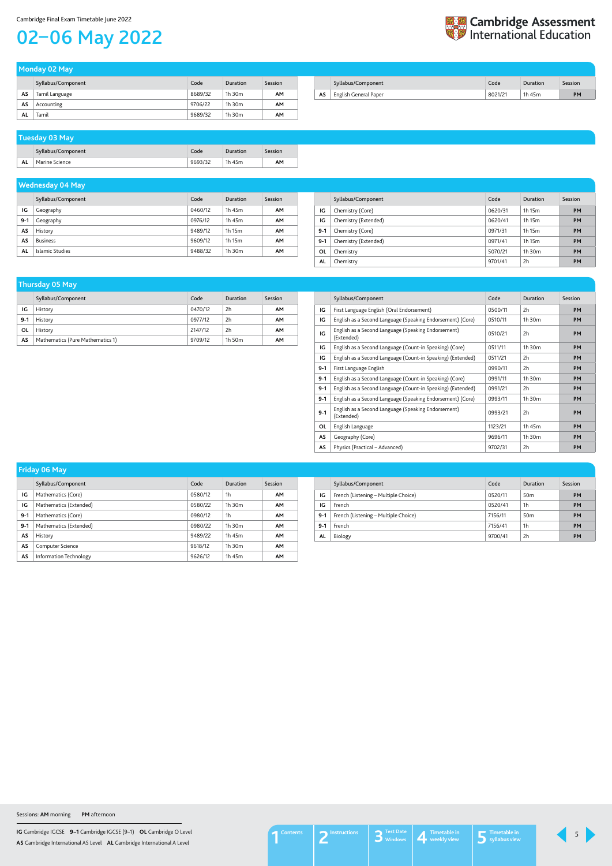**IG** Cambridge IGCSE **9–1** Cambridge IGCSE (9–1) **OL** Cambridge O Level **AS** Cambridge International AS Level **AL** Cambridge International A Level

#### Cambridge Final Exam Timetable June 2022

## <span id="page-4-0"></span>02–06 May 2022

| <b>Et Cambridge Assessment</b><br><b>Example 2018</b> International Education |
|-------------------------------------------------------------------------------|
|                                                                               |

|    | Monday 02 May      |         |             |         |  |  |
|----|--------------------|---------|-------------|---------|--|--|
|    | Syllabus/Component | Code    | Duration    | Session |  |  |
| AS | Tamil Language     | 8689/32 | $1h$ 30 $m$ | AМ      |  |  |
| AS | Accounting         | 9706/22 | $1h$ 30 $m$ | AМ      |  |  |
| ΑL | Tamil              | 9689/32 | $1h$ 30 $m$ | AМ      |  |  |

| Syllabus/Component                | Code    | Duration | Session |
|-----------------------------------|---------|----------|---------|
| <b>AS</b>   English General Paper | 8021/21 | th 45m   | PM      |

|    | Syllabus/Component | Code    | Duration | Session |
|----|--------------------|---------|----------|---------|
| AL | Marine Science     | 9693/32 | 1h 45m   | AΜ      |

## **Tuesday 03 May**

|       | Syllabus/Component | Code    | Duration | Session   |
|-------|--------------------|---------|----------|-----------|
| IG    | Geography          | 0460/12 | 1h 45m   | <b>AM</b> |
| $9-1$ | Geography          | 0976/12 | 1h 45m   | <b>AM</b> |
| AS    | History            | 9489/12 | 1h 15m   | <b>AM</b> |
| AS    | <b>Business</b>    | 9609/12 | 1h 15m   | <b>AM</b> |
| AL    | Islamic Studies    | 9488/32 | 1h 30m   | <b>AM</b> |

## **Wednesday 04 May**

|           | Syllabus/Component   | Code    | Duration    | Session   |
|-----------|----------------------|---------|-------------|-----------|
| IG        | Chemistry (Core)     | 0620/31 | 1h 15m      | <b>PM</b> |
| IG        | Chemistry (Extended) | 0620/41 | 1h 15m      | <b>PM</b> |
| $9 - 1$   | Chemistry (Core)     | 0971/31 | 1h 15m      | PM        |
| $9 - 1$   | Chemistry (Extended) | 0971/41 | 1h 15m      | PM        |
| <b>OL</b> | Chemistry            | 5070/21 | $1h$ 30 $m$ | <b>PM</b> |
| AL        | Chemistry            | 9701/41 | 2h          | PM        |

|       | _                                |         |          |         |
|-------|----------------------------------|---------|----------|---------|
|       | Syllabus/Component               | Code    | Duration | Session |
| ١G    | History                          | 0470/12 | 2h       | AM      |
| $9-1$ | History                          | 0977/12 | 2h       | AM      |
| ΟL    | History                          | 2147/12 | 2h       | AM      |
| AS    | Mathematics (Pure Mathematics 1) | 9709/12 | 1h 50m   | АΜ      |

## **Thursday 05 May**

|         | Syllabus/Component                                                | Code    | Duration | Session   |
|---------|-------------------------------------------------------------------|---------|----------|-----------|
| IG      | First Language English (Oral Endorsement)                         | 0500/11 | 2h       | PM        |
| IG      | English as a Second Language (Speaking Endorsement) (Core)        | 0510/11 | 1h 30m   | PM        |
| IG      | English as a Second Language (Speaking Endorsement)<br>(Extended) | 0510/21 | 2h       | PM        |
| IG      | English as a Second Language (Count-in Speaking) (Core)           | 0511/11 | 1h 30m   | <b>PM</b> |
| IG      | English as a Second Language (Count-in Speaking) (Extended)       | 0511/21 | 2h       | PM        |
| $9 - 1$ | First Language English                                            | 0990/11 | 2h       | PM        |
| $9 - 1$ | English as a Second Language (Count-in Speaking) (Core)           | 0991/11 | 1h 30m   | PM        |
| $9 - 1$ | English as a Second Language (Count-in Speaking) (Extended)       | 0991/21 | 2h       | PM        |
| $9 - 1$ | English as a Second Language (Speaking Endorsement) (Core)        | 0993/11 | 1h 30m   | PM        |
| $9 - 1$ | English as a Second Language (Speaking Endorsement)<br>(Extended) | 0993/21 | 2h       | <b>PM</b> |
| OL      | English Language                                                  | 1123/21 | 1h 45m   | PM        |
| AS      | Geography (Core)                                                  | 9696/11 | 1h 30m   | <b>PM</b> |
| AS      | Physics (Practical – Advanced)                                    | 9702/31 | 2h       | PM        |

| <b>Friday 06 May</b> |                        |         |             |           |
|----------------------|------------------------|---------|-------------|-----------|
|                      | Syllabus/Component     | Code    | Duration    | Session   |
| IG                   | Mathematics (Core)     | 0580/12 | 1h          | <b>AM</b> |
| IG                   | Mathematics (Extended) | 0580/22 | $1h$ 30 $m$ | <b>AM</b> |
| $9-1$                | Mathematics (Core)     | 0980/12 | 1h          | <b>AM</b> |
| $9 - 1$              | Mathematics (Extended) | 0980/22 | 1h 30m      | <b>AM</b> |
| AS                   | History                | 9489/22 | 1h 45m      | <b>AM</b> |
| AS                   | Computer Science       | 9618/12 | $1h$ 30 $m$ | <b>AM</b> |
| AS                   | Information Technology | 9626/12 | 1h 45m      | <b>AM</b> |

|           | Syllabus/Component                   | Code    | Duration        | Session |
|-----------|--------------------------------------|---------|-----------------|---------|
| IG        | French (Listening – Multiple Choice) | 0520/11 | 50 <sub>m</sub> | PM      |
| IG        | French                               | 0520/41 | 1h              | PM      |
| $9-1$     | French (Listening – Multiple Choice) | 7156/11 | 50 <sub>m</sub> | PM      |
| $9-1$     | French                               | 7156/41 | 1h              | PM      |
| <b>AL</b> | Biology                              | 9700/41 | 2h              | PM      |

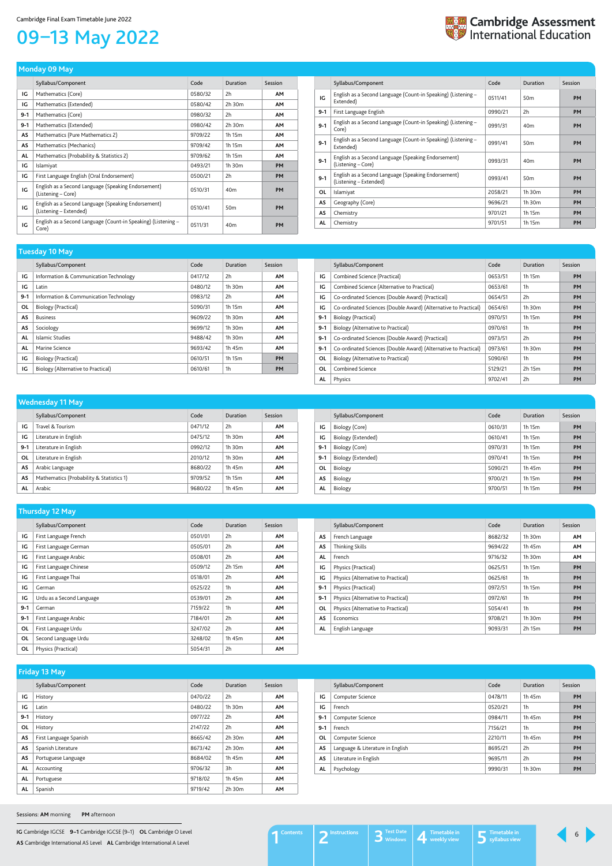**IG** Cambridge IGCSE **9–1** Cambridge IGCSE (9–1) **OL** Cambridge O Level **AS** Cambridge International AS Level **AL** Cambridge International A Level

## <span id="page-5-0"></span>09–13 May 2022



|         | Syllabus/Component                                                            | Code    | <b>Duration</b> | Session   |
|---------|-------------------------------------------------------------------------------|---------|-----------------|-----------|
| IG      | Mathematics (Core)                                                            | 0580/32 | 2h              | <b>AM</b> |
| IG      | Mathematics (Extended)                                                        | 0580/42 | 2h 30m          | <b>AM</b> |
| $9 - 1$ | Mathematics (Core)                                                            | 0980/32 | 2h              | <b>AM</b> |
| $9 - 1$ | Mathematics (Extended)                                                        | 0980/42 | 2h 30m          | <b>AM</b> |
| AS      | Mathematics (Pure Mathematics 2)                                              | 9709/22 | 1h 15m          | <b>AM</b> |
| AS      | Mathematics (Mechanics)                                                       | 9709/42 | 1h 15m          | <b>AM</b> |
| AL      | Mathematics (Probability & Statistics 2)                                      | 9709/62 | 1h 15m          | <b>AM</b> |
| IG      | Islamiyat                                                                     | 0493/21 | 1h 30m          | <b>PM</b> |
| IG      | First Language English (Oral Endorsement)                                     | 0500/21 | 2h              | <b>PM</b> |
| IG      | English as a Second Language (Speaking Endorsement)<br>(Listening – Core)     | 0510/31 | 40 <sub>m</sub> | <b>PM</b> |
| IG      | English as a Second Language (Speaking Endorsement)<br>(Listening – Extended) | 0510/41 | 50 <sub>m</sub> | <b>PM</b> |
| IG      | English as a Second Language (Count-in Speaking) (Listening -<br>Core)        | 0511/31 | 40 <sub>m</sub> | <b>PM</b> |

#### **Monday 09 May**

|           | Syllabus/Component                                                            | Code    | Duration        | <b>Session</b> |
|-----------|-------------------------------------------------------------------------------|---------|-----------------|----------------|
| IG        | English as a Second Language (Count-in Speaking) (Listening –<br>Extended)    | 0511/41 | 50 <sub>m</sub> | <b>PM</b>      |
| $9-1$     | First Language English                                                        | 0990/21 | 2h              | <b>PM</b>      |
| $9 - 1$   | English as a Second Language (Count-in Speaking) (Listening –<br>Core)        | 0991/31 | 40 <sub>m</sub> | <b>PM</b>      |
| $9 - 1$   | English as a Second Language (Count-in Speaking) (Listening –<br>Extended)    | 0991/41 | 50 <sub>m</sub> | <b>PM</b>      |
| $9 - 1$   | English as a Second Language (Speaking Endorsement)<br>(Listening – Core)     | 0993/31 | 40 <sub>m</sub> | <b>PM</b>      |
| $9-1$     | English as a Second Language (Speaking Endorsement)<br>(Listening – Extended) | 0993/41 | 50 <sub>m</sub> | <b>PM</b>      |
| <b>OL</b> | Islamiyat                                                                     | 2058/21 | 1h 30m          | <b>PM</b>      |
| AS        | Geography (Core)                                                              | 9696/21 | 1h 30m          | <b>PM</b>      |
| AS        | Chemistry                                                                     | 9701/21 | 1h 15m          | <b>PM</b>      |
| AL        | Chemistry                                                                     | 9701/51 | 1h 15m          | <b>PM</b>      |

| Tuesday 10 May |                                        |         |             |                |
|----------------|----------------------------------------|---------|-------------|----------------|
|                | Syllabus/Component                     | Code    | Duration    | <b>Session</b> |
| IG             | Information & Communication Technology | 0417/12 | 2h          | <b>AM</b>      |
| IG             | Latin                                  | 0480/12 | $1h$ 30 $m$ | <b>AM</b>      |
| $9 - 1$        | Information & Communication Technology | 0983/12 | 2h          | <b>AM</b>      |
| OL             | Biology (Practical)                    | 5090/31 | 1h 15m      | <b>AM</b>      |
| AS             | <b>Business</b>                        | 9609/22 | $1h$ 30 $m$ | <b>AM</b>      |
| AS             | Sociology                              | 9699/12 | 1h 30m      | <b>AM</b>      |
| AL             | Islamic Studies                        | 9488/42 | $1h$ 30 $m$ | <b>AM</b>      |
| AL             | Marine Science                         | 9693/42 | 1h 45m      | <b>AM</b>      |
| IG             | Biology (Practical)                    | 0610/51 | 1h 15m      | <b>PM</b>      |
| IG             | Biology (Alternative to Practical)     | 0610/61 | 1h          | <b>PM</b>      |

|         | Syllabus/Component                                              | Code    | <b>Duration</b> | Session   |
|---------|-----------------------------------------------------------------|---------|-----------------|-----------|
| IG      | Combined Science (Practical)                                    | 0653/51 | 1h 15m          | <b>PM</b> |
| IG      | Combined Science (Alternative to Practical)                     | 0653/61 | 1h              | <b>PM</b> |
| IG      | Co-ordinated Sciences (Double Award) (Practical)                | 0654/51 | 2h              | <b>PM</b> |
| IG      | Co-ordinated Sciences (Double Award) (Alternative to Practical) | 0654/61 | 1h 30m          | <b>PM</b> |
| $9 - 1$ | Biology (Practical)                                             | 0970/51 | 1h 15m          | <b>PM</b> |
| $9 - 1$ | Biology (Alternative to Practical)                              | 0970/61 | 1h              | <b>PM</b> |
| $9-1$   | Co-ordinated Sciences (Double Award) (Practical)                | 0973/51 | 2h              | <b>PM</b> |
| $9-1$   | Co-ordinated Sciences (Double Award) (Alternative to Practical) | 0973/61 | 1h 30m          | <b>PM</b> |
| 0L      | Biology (Alternative to Practical)                              | 5090/61 | 1 <sub>h</sub>  | <b>PM</b> |
| 0L      | Combined Science                                                | 5129/21 | 2h 15m          | <b>PM</b> |
| AL      | Physics                                                         | 9702/41 | 2h              | <b>PM</b> |

|         | -<br>.                                   |         |             |           |
|---------|------------------------------------------|---------|-------------|-----------|
|         | Syllabus/Component                       | Code    | Duration    | Session   |
| IG      | Travel & Tourism                         | 0471/12 | 2h          | <b>AM</b> |
| IG      | Literature in English                    | 0475/12 | $1h$ 30 $m$ | <b>AM</b> |
| $9 - 1$ | Literature in English                    | 0992/12 | $1h$ 30 $m$ | <b>AM</b> |
| OL      | Literature in English                    | 2010/12 | $1h$ 30 $m$ | <b>AM</b> |
| AS      | Arabic Language                          | 8680/22 | 1h 45m      | <b>AM</b> |
| AS      | Mathematics (Probability & Statistics 1) | 9709/52 | 1h 15m      | <b>AM</b> |
| AL      | Arabic                                   | 9680/22 | 1h 45m      | AΜ        |

#### **Wednesday 11 May**

| Syllabus/Component | Code    | Duration | Session   |
|--------------------|---------|----------|-----------|
| Biology (Core)     | 0610/31 | 1h 15m   | <b>PM</b> |
| Biology (Extended) | 0610/41 | 1h 15m   | <b>PM</b> |
| Biology (Core)     | 0970/31 | 1h 15m   | PM        |
| Biology (Extended) | 0970/41 | 1h 15m   | <b>PM</b> |
| Biology            | 5090/21 | 1h 45m   | <b>PM</b> |
| Biology            | 9700/21 | 1h 15m   | <b>PM</b> |
| Biology            | 9700/51 | 1h 15m   | <b>PM</b> |
|                    |         |          |           |

|           | Syllabus/Component        | Code    | Duration       | Session   |
|-----------|---------------------------|---------|----------------|-----------|
| IG        | First Language French     | 0501/01 | 2h             | <b>AM</b> |
| IG        | First Language German     | 0505/01 | 2h             | <b>AM</b> |
| IG        | First Language Arabic     | 0508/01 | 2h             | <b>AM</b> |
| IG        | First Language Chinese    | 0509/12 | 2h 15m         | <b>AM</b> |
| IG        | First Language Thai       | 0518/01 | 2h             | <b>AM</b> |
| IG        | German                    | 0525/22 | 1h             | <b>AM</b> |
| IG        | Urdu as a Second Language | 0539/01 | 2h             | <b>AM</b> |
| $9 - 1$   | German                    | 7159/22 | 1 <sub>h</sub> | <b>AM</b> |
| $9-1$     | First Language Arabic     | 7184/01 | 2h             | <b>AM</b> |
| <b>OL</b> | First Language Urdu       | 3247/02 | 2 <sub>h</sub> | <b>AM</b> |
| 0L        | Second Language Urdu      | 3248/02 | 1h 45m         | <b>AM</b> |
| OL        | Physics (Practical)       | 5054/31 | 2h             | <b>AM</b> |

### **Thursday 12 May**

|         | Syllabus/Component                 | Code    | Duration | Session   |
|---------|------------------------------------|---------|----------|-----------|
| AS      | French Language                    | 8682/32 | 1h.30m   | <b>AM</b> |
| AS      | <b>Thinking Skills</b>             | 9694/22 | 1h 45m   | <b>AM</b> |
| AL      | French                             | 9716/32 | 1h.30m   | <b>AM</b> |
| IG      | Physics (Practical)                | 0625/51 | 1h 15m   | <b>PM</b> |
| IG      | Physics (Alternative to Practical) | 0625/61 | 1h       | <b>PM</b> |
| $9-1$   | Physics (Practical)                | 0972/51 | 1h 15m   | <b>PM</b> |
| $9 - 1$ | Physics (Alternative to Practical) | 0972/61 | 1h       | PM        |
| 0L      | Physics (Alternative to Practical) | 5054/41 | 1h       | PM        |
| AS      | Economics                          | 9708/21 | 1h 30m   | <b>PM</b> |
| AL      | English Language                   | 9093/31 | 2h 15m   | <b>PM</b> |

|           | Syllabus/Component     | Code    | Duration    | Session   |
|-----------|------------------------|---------|-------------|-----------|
| ΙG        | History                | 0470/22 | 2h          | <b>AM</b> |
| IG        | Latin                  | 0480/22 | 1h 30m      | <b>AM</b> |
| $9 - 1$   | History                | 0977/22 | 2h          | <b>AM</b> |
| ΟL        | History                | 2147/22 | 2h          | <b>AM</b> |
| AS        | First Language Spanish | 8665/42 | $2h$ 30 $m$ | <b>AM</b> |
| AS        | Spanish Literature     | 8673/42 | 2h 30m      | <b>AM</b> |
| AS        | Portuguese Language    | 8684/02 | 1h 45m      | AM        |
| AL        | Accounting             | 9706/32 | 3h          | <b>AM</b> |
| <b>AL</b> | Portuguese             | 9718/02 | 1h 45m      | AM        |
| AL        | Spanish                | 9719/42 | 2h 30m      | <b>AM</b> |

### **Friday 13 May**

|         | Syllabus/Component               | Code    | Duration | Session   |
|---------|----------------------------------|---------|----------|-----------|
| IG      | Computer Science                 | 0478/11 | 1h 45m   | <b>PM</b> |
| IG      | French                           | 0520/21 | 1h       | PM        |
| $9-1$   | Computer Science                 | 0984/11 | 1h 45m   | <b>PM</b> |
| $9 - 1$ | French                           | 7156/21 | 1h       | PM        |
| 0L      | Computer Science                 | 2210/11 | 1h 45m   | <b>PM</b> |
| AS      | Language & Literature in English | 8695/21 | 2h       | PM        |
| AS      | Literature in English            | 9695/11 | 2h       | <b>PM</b> |
| AL      | Psychology                       | 9990/31 | 1h.30m   | <b>PM</b> |

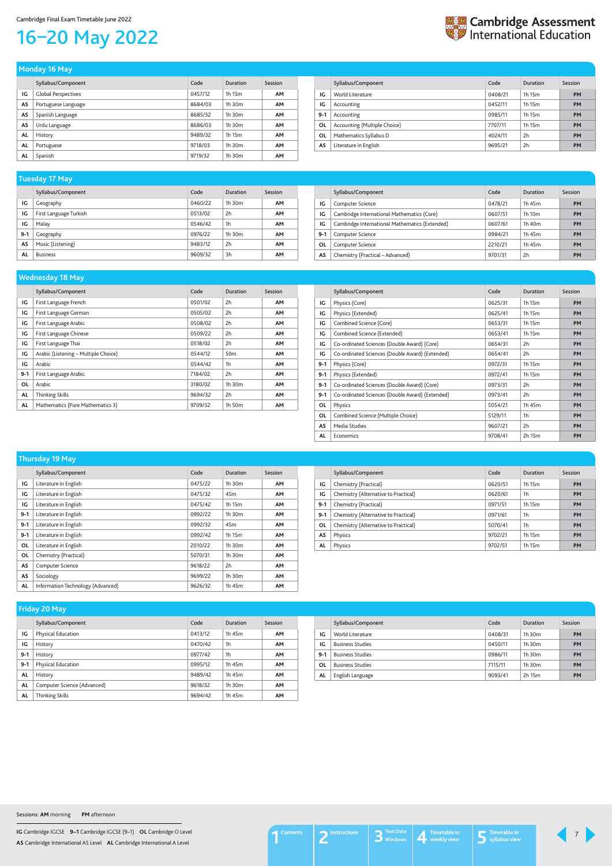**IG** Cambridge IGCSE **9–1** Cambridge IGCSE (9–1) **OL** Cambridge O Level **AS** Cambridge International AS Level **AL** Cambridge International A Level

## <span id="page-6-0"></span>16–20 May 2022



| -                          |         |                 |           |
|----------------------------|---------|-----------------|-----------|
| Syllabus/Component         | Code    | <b>Duration</b> | Session   |
| <b>Global Perspectives</b> | 0457/12 | 1h 15m          | <b>AM</b> |
| Portuguese Language        | 8684/03 | 1h 30m          | <b>AM</b> |
| Spanish Language           | 8685/32 | 1h 30m          | AM        |
| Urdu Language              | 8686/03 | 1h 30m          | <b>AM</b> |
| History                    | 9489/32 | 1h 15m          | <b>AM</b> |
| Portuguese                 | 9718/03 | 1h 30m          | <b>AM</b> |
| Spanish                    | 9719/32 | 1h 30m          | <b>AM</b> |
|                            |         |                 |           |

| Monday 16 May |  |  |  |
|---------------|--|--|--|
|               |  |  |  |

|           | Syllabus/Component           | Code    | Duration | Session   |
|-----------|------------------------------|---------|----------|-----------|
| IG        | World Literature             | 0408/21 | 1h 15m   | <b>PM</b> |
| IG        | Accounting                   | 0452/11 | 1h 15m   | <b>PM</b> |
| $9 - 1$   | Accounting                   | 0985/11 | 1h 15m   | <b>PM</b> |
| 0L        | Accounting (Multiple Choice) | 7707/11 | 1h 15m   | <b>PM</b> |
| <b>OL</b> | Mathematics Syllabus D       | 4024/11 | 2h       | <b>PM</b> |
| AS        | Literature in English        | 9695/21 | 2h       | <b>PM</b> |

|         | Syllabus/Component     | Code    | <b>Duration</b> | Session   |
|---------|------------------------|---------|-----------------|-----------|
| IG      | Geography              | 0460/22 | $1h$ 30 $m$     | <b>AM</b> |
| IG      | First Language Turkish | 0513/02 | 2h              | <b>AM</b> |
| ΙG      | Malay                  | 0546/42 | 1 <sub>h</sub>  | <b>AM</b> |
| $9 - 1$ | Geography              | 0976/22 | $1h$ 30 $m$     | <b>AM</b> |
| AS      | Music (Listening)      | 9483/12 | 2h              | <b>AM</b> |
| AL      | <b>Business</b>        | 9609/32 | 3h              | <b>AM</b> |

### **Tuesday 17 May**

|       | Syllabus/Component                             | Code    | Duration           | Session   |
|-------|------------------------------------------------|---------|--------------------|-----------|
| IG    | Computer Science                               | 0478/21 | 1h 45m             | <b>PM</b> |
| IG    | Cambridge International Mathematics (Core)     | 0607/51 | 1h 10 <sub>m</sub> | PM        |
| IG    | Cambridge International Mathematics (Extended) | 0607/61 | 1h 40m             | PM        |
| $9-1$ | Computer Science                               | 0984/21 | 1h 45m             | PM        |
| 0L    | Computer Science                               | 2210/21 | 1h 45m             | PM        |
| AS    | Chemistry (Practical – Advanced)               | 9701/31 | 2h                 | <b>PM</b> |

|           | Syllabus/Component                   | Code    | Duration        | Session   |
|-----------|--------------------------------------|---------|-----------------|-----------|
| IG        | First Language French                | 0501/02 | 2h              | <b>AM</b> |
| IG        | First Language German                | 0505/02 | 2 <sub>h</sub>  | AΜ        |
| IG        | First Language Arabic                | 0508/02 | 2h              | <b>AM</b> |
| IG        | First Language Chinese               | 0509/22 | 2 <sub>h</sub>  | AM        |
| IG        | First Language Thai                  | 0518/02 | 2 <sub>h</sub>  | AM        |
| IG        | Arabic (Listening – Multiple Choice) | 0544/12 | 50 <sub>m</sub> | <b>AM</b> |
| IG        | Arabic                               | 0544/42 | 1h              | <b>AM</b> |
| $9 - 1$   | First Language Arabic                | 7184/02 | 2h              | AM        |
| <b>OL</b> | Arabic                               | 3180/02 | 1h 30m          | AM        |
| AL        | Thinking Skills                      | 9694/32 | 2h              | AM        |
| <b>AL</b> | Mathematics (Pure Mathematics 3)     | 9709/32 | 1h 50m          | AM        |

#### **Wednesday 18 May**

|         | Syllabus/Component                              | Code    | Duration | Session   |
|---------|-------------------------------------------------|---------|----------|-----------|
| IG      | Physics (Core)                                  | 0625/31 | 1h 15m   | <b>PM</b> |
| IG      | Physics (Extended)                              | 0625/41 | 1h 15m   | <b>PM</b> |
| IG      | Combined Science (Core)                         | 0653/31 | 1h 15m   | <b>PM</b> |
| IG      | Combined Science (Extended)                     | 0653/41 | 1h 15m   | <b>PM</b> |
| IG      | Co-ordinated Sciences (Double Award) (Core)     | 0654/31 | 2h       | <b>PM</b> |
| IG      | Co-ordinated Sciences (Double Award) (Extended) | 0654/41 | 2h       | <b>PM</b> |
| $9-1$   | Physics (Core)                                  | 0972/31 | 1h 15m   | <b>PM</b> |
| $9-1$   | Physics (Extended)                              | 0972/41 | 1h 15m   | <b>PM</b> |
| $9 - 1$ | Co-ordinated Sciences (Double Award) (Core)     | 0973/31 | 2h       | <b>PM</b> |
| $9-1$   | Co-ordinated Sciences (Double Award) (Extended) | 0973/41 | 2h       | <b>PM</b> |
| 0L      | Physics                                         | 5054/21 | 1h 45m   | <b>PM</b> |
| OL      | Combined Science (Multiple Choice)              | 5129/11 | 1h       | <b>PM</b> |
| AS      | Media Studies                                   | 9607/21 | 2h       | <b>PM</b> |
| AL      | Economics                                       | 9708/41 | 2h 15m   | <b>PM</b> |

|       | Syllabus/Component                | Code    | <b>Duration</b> | Session   |
|-------|-----------------------------------|---------|-----------------|-----------|
| IG    | Literature in English             | 0475/22 | $1h$ 30 $m$     | <b>AM</b> |
| IG    | Literature in English             | 0475/32 | 45 <sub>m</sub> | <b>AM</b> |
| IG    | Literature in English             | 0475/42 | 1h 15m          | <b>AM</b> |
| $9-1$ | Literature in English             | 0992/22 | 1h 30m          | <b>AM</b> |
| $9-1$ | Literature in English             | 0992/32 | 45 <sub>m</sub> | <b>AM</b> |
| $9-1$ | Literature in English             | 0992/42 | 1h 15m          | <b>AM</b> |
| OL    | Literature in English             | 2010/22 | $1h$ 30 $m$     | <b>AM</b> |
| OL    | Chemistry (Practical)             | 5070/31 | 1h 30m          | <b>AM</b> |
| AS    | Computer Science                  | 9618/22 | 2h              | <b>AM</b> |
| AS    | Sociology                         | 9699/22 | 1h 30m          | <b>AM</b> |
| AL    | Information Technology (Advanced) | 9626/32 | 1h 45m          | <b>AM</b> |

### **Thursday 19 May**

|         | Syllabus/Component                   | Code    | Duration | Session   |
|---------|--------------------------------------|---------|----------|-----------|
| IG      | Chemistry (Practical)                | 0620/51 | 1h 15m   | <b>PM</b> |
| IG      | Chemistry (Alternative to Practical) | 0620/61 | 1h       | <b>PM</b> |
| $9 - 1$ | Chemistry (Practical)                | 0971/51 | 1h 15m   | <b>PM</b> |
| $9-1$   | Chemistry (Alternative to Practical) | 0971/61 | 1h       | <b>PM</b> |
| 0L      | Chemistry (Alternative to Practical) | 5070/41 | 1h       | <b>PM</b> |
| AS      | Physics                              | 9702/21 | 1h 15m   | <b>PM</b> |
| AL.     | Physics                              | 9702/51 | 1h 15m   | <b>PM</b> |

| <b>FIIUAY ZU MAY</b> |                             |         |                |           |  |
|----------------------|-----------------------------|---------|----------------|-----------|--|
|                      | Syllabus/Component          | Code    | Duration       | Session   |  |
| IG                   | Physical Education          | 0413/12 | 1h 45m         | <b>AM</b> |  |
| IG                   | History                     | 0470/42 | 1 <sub>h</sub> | <b>AM</b> |  |
| $9-1$                | History                     | 0977/42 | 1 <sub>h</sub> | <b>AM</b> |  |
| $9-1$                | Physical Education          | 0995/12 | 1h 45m         | <b>AM</b> |  |
| AL                   | History                     | 9489/42 | 1h 45m         | <b>AM</b> |  |
| <b>AL</b>            | Computer Science (Advanced) | 9618/32 | 1h 30m         | <b>AM</b> |  |
| <b>AL</b>            | Thinking Skills             | 9694/42 | 1h 45m         | AM        |  |

#### **Friday 20 May**

|         | Syllabus/Component      | Code    | Duration    | Session   |
|---------|-------------------------|---------|-------------|-----------|
| ١G      | World Literature        | 0408/31 | $1h$ 30 $m$ | <b>PM</b> |
| ١G      | <b>Business Studies</b> | 0450/11 | $1h$ 30 $m$ | <b>PM</b> |
| $9 - 1$ | <b>Business Studies</b> | 0986/11 | $1h$ 30 $m$ | <b>PM</b> |
| OL      | <b>Business Studies</b> | 7115/11 | $1h$ 30 $m$ | <b>PM</b> |
| AL      | English Language        | 9093/41 | 2h 15m      | <b>PM</b> |

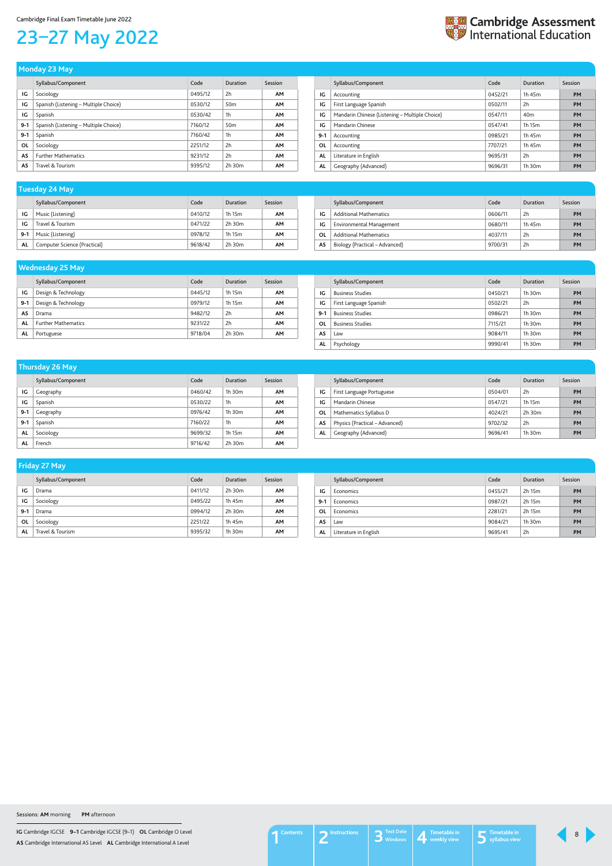**IG** Cambridge IGCSE **9–1** Cambridge IGCSE (9–1) **OL** Cambridge O Level **AS** Cambridge International AS Level **AL** Cambridge International A Level

## <span id="page-7-0"></span>23–27 May 2022



|         | -<br>-                                |         |                 |           |
|---------|---------------------------------------|---------|-----------------|-----------|
|         | Syllabus/Component                    | Code    | Duration        | Session   |
| IG      | Sociology                             | 0495/12 | 2h              | <b>AM</b> |
| IG      | Spanish (Listening - Multiple Choice) | 0530/12 | 50 <sub>m</sub> | <b>AM</b> |
| IG      | Spanish                               | 0530/42 | 1h              | <b>AM</b> |
| $9 - 1$ | Spanish (Listening - Multiple Choice) | 7160/12 | 50 <sub>m</sub> | <b>AM</b> |
| $9 - 1$ | Spanish                               | 7160/42 | 1 <sub>h</sub>  | <b>AM</b> |
| 0L      | Sociology                             | 2251/12 | 2h              | <b>AM</b> |
| AS      | <b>Further Mathematics</b>            | 9231/12 | 2h              | <b>AM</b> |
| AS      | Travel & Tourism                      | 9395/12 | $2h$ 30 $m$     | <b>AM</b> |
|         |                                       |         |                 |           |

#### **Monday 23 May**

|         | Syllabus/Component                             | Code    | Duration        | Session   |
|---------|------------------------------------------------|---------|-----------------|-----------|
| IG      | Accounting                                     | 0452/21 | 1h 45m          | <b>PM</b> |
| IG      | First Language Spanish                         | 0502/11 | 2h              | <b>PM</b> |
| IG      | Mandarin Chinese (Listening - Multiple Choice) | 0547/11 | 40 <sub>m</sub> | <b>PM</b> |
| IG      | Mandarin Chinese                               | 0547/41 | 1h 15m          | <b>PM</b> |
| $9 - 1$ | Accounting                                     | 0985/21 | 1h 45m          | <b>PM</b> |
| OL      | Accounting                                     | 7707/21 | 1h 45m          | <b>PM</b> |
| AL      | Literature in English                          | 9695/31 | 2h              | <b>PM</b> |
| AL      | Geography (Advanced)                           | 9696/31 | $1h$ 30 $m$     | <b>PM</b> |

|         | Syllabus/Component           | Code    | Duration | Session |
|---------|------------------------------|---------|----------|---------|
| ١G      | Music (Listening)            | 0410/12 | 1h 15m   | AΜ      |
| ١G      | Travel & Tourism             | 0471/22 | 2h 30m   | AМ      |
| $9 - 1$ | Music (Listening)            | 0978/12 | 1h 15m   | AΜ      |
| AL      | Computer Science (Practical) | 9618/42 | 2h 30m   | ΑМ      |

### **Tuesday 24 May**

|    | Syllabus/Component             | Code    | Duration | Session   |
|----|--------------------------------|---------|----------|-----------|
| IG | <b>Additional Mathematics</b>  | 0606/11 | 2h       | <b>PM</b> |
| ΙG | Environmental Management       | 0680/11 | 1h 45m   | PM        |
| OL | <b>Additional Mathematics</b>  | 4037/11 | 2h       | PM        |
| AS | Biology (Practical - Advanced) | 9700/31 | 2h       | <b>PM</b> |

|       | Syllabus/Component         | Code    | Duration    | Session   |
|-------|----------------------------|---------|-------------|-----------|
| IG    | Design & Technology        | 0445/12 | 1h 15m      | AM        |
| $9-1$ | Design & Technology        | 0979/12 | 1h 15m      | <b>AM</b> |
| AS    | Drama                      | 9482/12 | 2h          | AM        |
| AL    | <b>Further Mathematics</b> | 9231/22 | 2h          | <b>AM</b> |
| AL    | Portuguese                 | 9718/04 | $2h$ 30 $m$ | AΜ        |

### **Wednesday 25 May**

|       | Syllabus/Component      | Code    | Duration    | Session   |
|-------|-------------------------|---------|-------------|-----------|
| IG    | <b>Business Studies</b> | 0450/21 | $1h$ 30 $m$ | <b>PM</b> |
| IG    | First Language Spanish  | 0502/21 | 2h          | <b>PM</b> |
| $9-1$ | <b>Business Studies</b> | 0986/21 | $1h$ 30 $m$ | <b>PM</b> |
| OL    | <b>Business Studies</b> | 7115/21 | $1h$ 30 $m$ | <b>PM</b> |
| AS    | Law                     | 9084/11 | $1h$ 30 $m$ | <b>PM</b> |
| AL    | Psychology              | 9990/41 | $1h$ 30 $m$ | <b>PM</b> |

### Syllabus/Component Code Duration Session **Thursday 26 May**

|         |           | ----    | -------        | -------   |
|---------|-----------|---------|----------------|-----------|
| IG      | Geography | 0460/42 | $1h$ 30 $m$    | <b>AM</b> |
| IG      | Spanish   | 0530/22 | 1 <sub>h</sub> | <b>AM</b> |
| $9-1$   | Geography | 0976/42 | 1h 30m         | <b>AM</b> |
| $9 - 1$ | Spanish   | 7160/22 | 1 <sub>h</sub> | <b>AM</b> |
| AL      | Sociology | 9699/32 | 1h 15m         | <b>AM</b> |
| AL      | French    | 9716/42 | 2h 30m         | <b>AM</b> |

|           | Syllabus/Component             | Code    | Duration    | Session   |
|-----------|--------------------------------|---------|-------------|-----------|
| IG        | First Language Portuguese      | 0504/01 | 2h          | PM        |
| IG        | Mandarin Chinese               | 0547/21 | 1h 15m      | <b>PM</b> |
| 0L        | Mathematics Syllabus D         | 4024/21 | $2h$ 30 $m$ | PM        |
| AS        | Physics (Practical – Advanced) | 9702/32 | 2h          | PM        |
| <b>AL</b> | Geography (Advanced)           | 9696/41 | $1h$ 30 $m$ | PM        |

| <b>Friday 27 May</b> |                    |         |             |           |
|----------------------|--------------------|---------|-------------|-----------|
|                      | Syllabus/Component | Code    | Duration    | Session   |
| IG                   | Drama              | 0411/12 | $2h$ 30 $m$ | <b>AM</b> |
| IG                   | Sociology          | 0495/22 | 1h 45m      | <b>AM</b> |
| $9-1$                | Drama              | 0994/12 | $2h$ 30 $m$ | <b>AM</b> |
| <b>OL</b>            | Sociology          | 2251/22 | 1h 45m      | <b>AM</b> |
| AL                   | Travel & Tourism   | 9395/32 | $1h$ 30 $m$ | AM        |

|       | Syllabus/Component    | Code    | Duration | Session   |
|-------|-----------------------|---------|----------|-----------|
| IG    | Economics             | 0455/21 | 2h 15m   | <b>PM</b> |
| $9-1$ | Economics             | 0987/21 | 2h 15m   | <b>PM</b> |
| 0L    | Economics             | 2281/21 | 2h 15m   | <b>PM</b> |
| AS    | Law                   | 9084/21 | 1h 30m   | <b>PM</b> |
| AL    | Literature in English | 9695/41 | 2h       | <b>PM</b> |

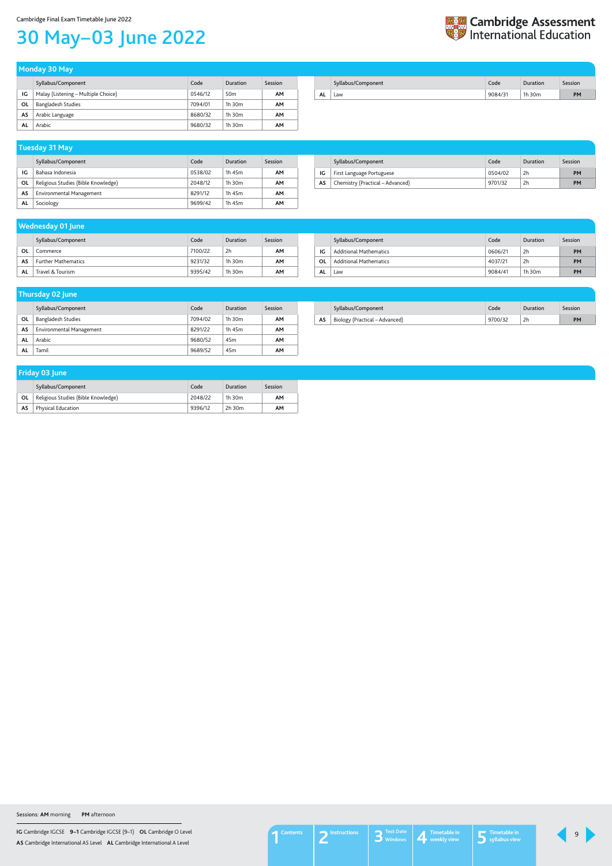**IG** Cambridge IGCSE **9–1** Cambridge IGCSE (9–1) **OL** Cambridge O Level **AS** Cambridge International AS Level **AL** Cambridge International A Level

#### Cambridge Final Exam Timetable June 2022

## <span id="page-8-0"></span>30 May–03 June 2022



|    | Syllabus/Component                  | Code    | Duration    | Session |
|----|-------------------------------------|---------|-------------|---------|
| ١G | Bahasa Indonesia                    | 0538/02 | 1h 45m      | AМ      |
| ΟL | Religious Studies (Bible Knowledge) | 2048/12 | $1h$ 30 $m$ | AМ      |
| AS | Environmental Management            | 8291/12 | 1h 45m      | AМ      |
| AL | Sociology                           | 9699/42 | 1h 45m      | AМ      |

#### **Tuesday 31 May**

|    | Syllabus/Component               | Code    | Duration | Session   |
|----|----------------------------------|---------|----------|-----------|
| IG | First Language Portuguese        | 0504/02 | 2h       | <b>PM</b> |
| AS | Chemistry (Practical - Advanced) | 9701/32 | 2h       | PM        |

Syllabus/Component Code Duration Session **IG** Malay (Listening – Multiple Choice) **COM** 0546/12 50m **AM OL** Bangladesh Studies 7094/01 1h 30m **AM AS** Arabic Language 8680/32 1h 30m **AM AL** Arabic 9680/32 1h 30m **AM**

|    | __                        |         |                 |         |
|----|---------------------------|---------|-----------------|---------|
|    | Syllabus/Component        | Code    | Duration        | Session |
| ΟL | <b>Bangladesh Studies</b> | 7094/02 | $1h$ 30 $m$     | AM      |
| AS | Environmental Management  | 8291/22 | 1h 45m          | AM      |
| AL | Arabic                    | 9680/52 | 45 <sub>m</sub> | AM      |
| AL | Tamil                     | 9689/52 | 45 <sub>m</sub> | AM      |

#### **Thursday 02 June**

|    | Syllabus/Component             | Code    | Duration | Session |
|----|--------------------------------|---------|----------|---------|
| AS | Biology (Practical – Advanced) | 9700/32 | 2ŀ       | PM      |

|    | Syllabus/Component                  | Code    | Duration     | Session |
|----|-------------------------------------|---------|--------------|---------|
| 0L | Religious Studies (Bible Knowledge) | 2048/22 | 1 $h$ 30 $m$ | AM      |
| AS | Physical Education                  | 9396/12 | $2h$ 30 $m$  | AΜ      |

#### **Friday 03 June**

**Monday 30 May** 

|    | Syllabus/Component | Code    | Duration | Session |
|----|--------------------|---------|----------|---------|
| ΑL | Law                | 9084/31 | 1h 30m   | PM      |

|    | Syllabus/Component            | Code    | Duration    | Session   |
|----|-------------------------------|---------|-------------|-----------|
| IG | <b>Additional Mathematics</b> | 0606/21 | 2h          | <b>PM</b> |
| 0L | <b>Additional Mathematics</b> | 4037/21 | 2h          | <b>PM</b> |
| ΑL | ∟aw                           | 9084/41 | $1h$ 30 $m$ | <b>PM</b> |

#### **Wednesday 01 June**

|    | Syllabus/Component         | Code    | Duration    | Session |
|----|----------------------------|---------|-------------|---------|
| OL | Commerce                   | 7100/22 | 2h          | AΜ      |
| AS | <b>Further Mathematics</b> | 9231/32 | $1h$ 30 $m$ | AM      |
| AL | Travel & Tourism           | 9395/42 | $1h$ 30 $m$ | AΜ      |

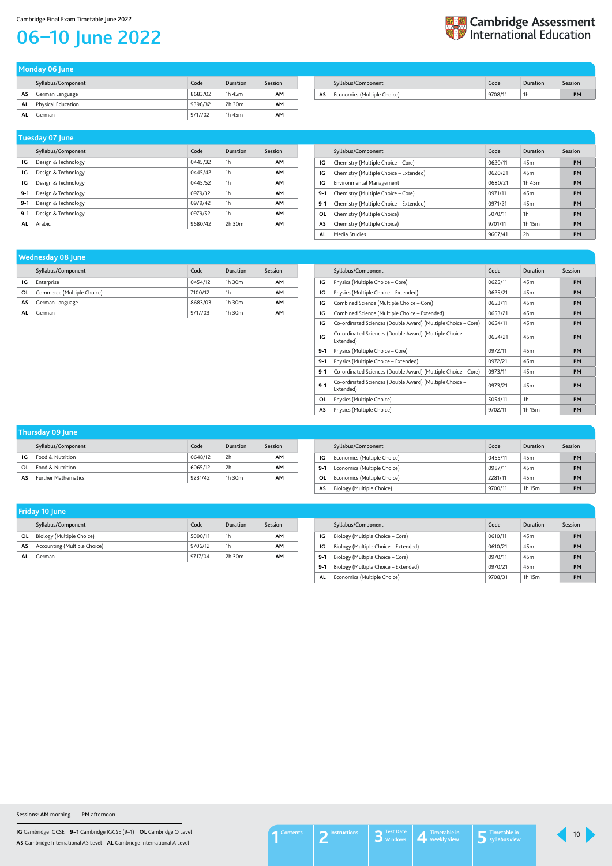**IG** Cambridge IGCSE **9–1** Cambridge IGCSE (9–1) **OL** Cambridge O Level **AS** Cambridge International AS Level **AL** Cambridge International A Level

#### Cambridge Final Exam Timetable June 2022

## <span id="page-9-0"></span>06–10 June 2022

| <b>Example 25 Cambridge Assessment</b><br><b>Example 20 International Education</b> |
|-------------------------------------------------------------------------------------|
|                                                                                     |

|    | Syllabus/Component | Code    | Duration | Session |
|----|--------------------|---------|----------|---------|
| AS | German Language    | 8683/02 | 1h 45m   | AΜ      |
| AL | Physical Education | 9396/32 | 2h 30m   | AΜ      |
| AL | German             | 9717/02 | 1h 45m   | AΜ      |

| Monday 06 June |  |  |
|----------------|--|--|
|                |  |  |
|                |  |  |
|                |  |  |

|    | Syllabus/Component          | Code    | Duration | Session |
|----|-----------------------------|---------|----------|---------|
| AS | Economics (Multiple Choice) | 9708/11 | 1h       | PM      |

|       | Syllabus/Component  | Code    | <b>Duration</b> | Session   |
|-------|---------------------|---------|-----------------|-----------|
| IG    | Design & Technology | 0445/32 | 1 <sub>h</sub>  | AM        |
| IG    | Design & Technology | 0445/42 | 1h              | <b>AM</b> |
| IG    | Design & Technology | 0445/52 | 1 <sub>h</sub>  | <b>AM</b> |
| $9-1$ | Design & Technology | 0979/32 | 1 <sub>h</sub>  | <b>AM</b> |
| $9-1$ | Design & Technology | 0979/42 | 1h              | <b>AM</b> |
| $9-1$ | Design & Technology | 0979/52 | 1 <sub>h</sub>  | <b>AM</b> |
| AL    | Arabic              | 9680/42 | $2h$ 30 $m$     | AΜ        |

## **Tuesday 07 June**

|         | Syllabus/Component                     | Code    | Duration        | Session   |
|---------|----------------------------------------|---------|-----------------|-----------|
| IG      | Chemistry (Multiple Choice – Core)     | 0620/11 | 45 <sub>m</sub> | <b>PM</b> |
| IG      | Chemistry (Multiple Choice – Extended) | 0620/21 | 45 <sub>m</sub> | PM        |
| IG      | Environmental Management               | 0680/21 | 1h 45m          | <b>PM</b> |
| $9 - 1$ | Chemistry (Multiple Choice – Core)     | 0971/11 | 45 <sub>m</sub> | <b>PM</b> |
| $9-1$   | Chemistry (Multiple Choice – Extended) | 0971/21 | 45 <sub>m</sub> | <b>PM</b> |
| 0L      | Chemistry (Multiple Choice)            | 5070/11 | 1h              | PM        |
| AS      | Chemistry (Multiple Choice)            | 9701/11 | 1h 15m          | <b>PM</b> |
| AL      | Media Studies                          | 9607/41 | 2h              | PM        |

| Thursday 09 June |                            |         |             |         |  |  |  |
|------------------|----------------------------|---------|-------------|---------|--|--|--|
|                  | Syllabus/Component         | Code    | Duration    | Session |  |  |  |
| IG               | Food & Nutrition           | 0648/12 | 2h          | AM      |  |  |  |
| OL               | Food & Nutrition           | 6065/12 | 2h          | AΜ      |  |  |  |
| AS               | <b>Further Mathematics</b> | 9231/42 | $1h$ 30 $m$ | AΜ      |  |  |  |

|       | Syllabus/Component          | Code    | Duration        | Session   |
|-------|-----------------------------|---------|-----------------|-----------|
| IG    | Economics (Multiple Choice) | 0455/11 | 45 <sub>m</sub> | <b>PM</b> |
| $9-1$ | Economics (Multiple Choice) | 0987/11 | 45 <sub>m</sub> | <b>PM</b> |
| 0L    | Economics (Multiple Choice) | 2281/11 | 45 <sub>m</sub> | <b>PM</b> |
| AS    | Biology (Multiple Choice)   | 9700/11 | 1h 15m          | <b>PM</b> |

|    | Syllabus/Component         | Code    | Duration    | Session   |
|----|----------------------------|---------|-------------|-----------|
| ١G | Enterprise                 | 0454/12 | 1h 30m      | AΜ        |
| ΟL | Commerce (Multiple Choice) | 7100/12 | 1h          | AΜ        |
| AS | German Language            | 8683/03 | $1h$ 30 $m$ | <b>AM</b> |
| AL | German                     | 9717/03 | $1h$ 30 $m$ | AΜ        |

### **Wednesday 08 June**

|         | Syllabus/Component                                                   | Code    | Duration        | Session   |
|---------|----------------------------------------------------------------------|---------|-----------------|-----------|
| IG      | Physics (Multiple Choice - Core)                                     | 0625/11 | 45 <sub>m</sub> | <b>PM</b> |
| ΙG      | Physics (Multiple Choice – Extended)                                 | 0625/21 | 45 <sub>m</sub> | <b>PM</b> |
| ΙG      | Combined Science (Multiple Choice – Core)                            | 0653/11 | 45 <sub>m</sub> | <b>PM</b> |
| IG      | Combined Science (Multiple Choice - Extended)                        | 0653/21 | 45 <sub>m</sub> | <b>PM</b> |
| IG      | Co-ordinated Sciences (Double Award) (Multiple Choice – Core)        | 0654/11 | 45 <sub>m</sub> | <b>PM</b> |
| IG      | Co-ordinated Sciences (Double Award) (Multiple Choice -<br>Extended) | 0654/21 | 45 <sub>m</sub> | <b>PM</b> |
| $9-1$   | Physics (Multiple Choice – Core)                                     | 0972/11 | 45 <sub>m</sub> | <b>PM</b> |
| $9 - 1$ | Physics (Multiple Choice – Extended)                                 | 0972/21 | 45 <sub>m</sub> | <b>PM</b> |
| $9-1$   | Co-ordinated Sciences (Double Award) (Multiple Choice – Core)        | 0973/11 | 45 <sub>m</sub> | <b>PM</b> |
| $9 - 1$ | Co-ordinated Sciences (Double Award) (Multiple Choice -<br>Extended) | 0973/21 | 45 <sub>m</sub> | <b>PM</b> |
| OL      | Physics (Multiple Choice)                                            | 5054/11 | 1h              | <b>PM</b> |
| AS      | Physics (Multiple Choice)                                            | 9702/11 | 1h 15m          | <b>PM</b> |

|    | <b>Friday 10 June</b>        |         |          |                |
|----|------------------------------|---------|----------|----------------|
|    | Syllabus/Component           | Code    | Duration | <b>Session</b> |
| ΟL | Biology (Multiple Choice)    | 5090/11 | 1h       | AM             |
| AS | Accounting (Multiple Choice) | 9706/12 | 1h       | AΜ             |

**AL** German 9717/04 2h 30m **AM**

|       | Syllabus/Component                   | Code    | Duration        | Session   |
|-------|--------------------------------------|---------|-----------------|-----------|
| IG    | Biology (Multiple Choice – Core)     | 0610/11 | 45 <sub>m</sub> | <b>PM</b> |
| IG    | Biology (Multiple Choice – Extended) | 0610/21 | 45 <sub>m</sub> | PM        |
| $9-1$ | Biology (Multiple Choice - Core)     | 0970/11 | 45m             | PM        |
| $9-1$ | Biology (Multiple Choice - Extended) | 0970/21 | 45m             | PM        |
| AL    | Economics (Multiple Choice)          | 9708/31 | 1h 15m          | <b>PM</b> |

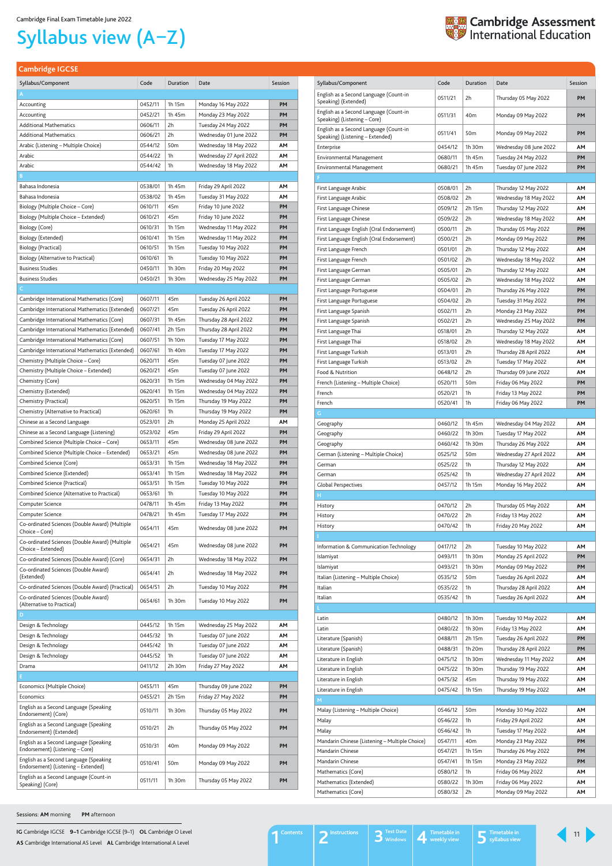**IG** Cambridge IGCSE **9–1** Cambridge IGCSE (9–1) **OL** Cambridge O Level **AS** Cambridge International AS Level **AL** Cambridge International A Level

<span id="page-10-1"></span>**Cambridge IGCSE**

| Syllabus/Component                                                         | Code               | Duration        | Date                                      | Session  |
|----------------------------------------------------------------------------|--------------------|-----------------|-------------------------------------------|----------|
| English as a Second Language (Count-in<br>Speaking) (Extended)             | 0511/21            | 2h              | Thursday 05 May 2022                      | PM       |
| English as a Second Language (Count-in<br>Speaking) (Listening - Core)     | 0511/31            | 40m             | Monday 09 May 2022                        | PМ       |
| English as a Second Language (Count-in<br>Speaking) (Listening - Extended) | 0511/41            | 50 <sub>m</sub> | Monday 09 May 2022                        | PМ       |
| Enterprise                                                                 | 0454/12            | 1h 30m          | Wednesday 08 June 2022                    | AΜ       |
| Environmental Management                                                   | 0680/11            | 1h 45m          | Tuesday 24 May 2022                       | PM       |
| <b>Environmental Management</b>                                            | 0680/21            | 1h 45m          | Tuesday 07 June 2022                      | PM       |
|                                                                            |                    |                 |                                           |          |
| First Language Arabic                                                      | 0508/01            | 2h              | Thursday 12 May 2022                      | AΜ       |
| First Language Arabic                                                      | 0508/02            | 2h              | Wednesday 18 May 2022                     | AΜ       |
| First Language Chinese                                                     | 0509/12            | 2h 15m          | Thursday 12 May 2022                      | AΜ       |
| First Language Chinese                                                     | 0509/22            | 2h              | Wednesday 18 May 2022                     | AΜ       |
| First Language English (Oral Endorsement)                                  | 0500/11            | 2h              | Thursday 05 May 2022                      | PM       |
| First Language English (Oral Endorsement)                                  | 0500/21            | 2h              | Monday 09 May 2022                        | PМ       |
| First Language French                                                      | 0501/01            | 2h              | Thursday 12 May 2022                      | AΜ       |
| First Language French                                                      | 0501/02            | 2h              | Wednesday 18 May 2022                     | AΜ       |
| First Language German                                                      | 0505/01            | 2h              | Thursday 12 May 2022                      | ΑМ       |
| First Language German                                                      | 0505/02            | 2h              | Wednesday 18 May 2022                     | AΜ       |
| First Language Portuguese                                                  | 0504/01            | 2h              | Thursday 26 May 2022                      | PM       |
| First Language Portuguese<br>First Language Spanish                        | 0504/02<br>0502/11 | 2h<br>2h        | Tuesday 31 May 2022<br>Monday 23 May 2022 | PM<br>PМ |
| First Language Spanish                                                     | 0502/21            | 2h              | Wednesday 25 May 2022                     | PМ       |
| First Language Thai                                                        | 0518/01            | 2h              | Thursday 12 May 2022                      | AΜ       |
| First Language Thai                                                        | 0518/02            | 2h              | Wednesday 18 May 2022                     | AΜ       |
| First Language Turkish                                                     | 0513/01            | 2h              | Thursday 28 April 2022                    | AΜ       |
| First Language Turkish                                                     | 0513/02            | 2h              | Tuesday 17 May 2022                       | AΜ       |
| Food & Nutrition                                                           | 0648/12            | 2h              | Thursday 09 June 2022                     | AΜ       |
| French (Listening – Multiple Choice)                                       | 0520/11            | 50 <sub>m</sub> | Friday 06 May 2022                        | PM       |
| French                                                                     | 0520/21            | 1h              | Friday 13 May 2022                        | PМ       |
| French                                                                     | 0520/41            | 1h              | Friday 06 May 2022                        | PM       |
| G                                                                          |                    |                 |                                           |          |
| Geography                                                                  | 0460/12            | 1h 45m          | Wednesday 04 May 2022                     | AΜ       |
| Geography                                                                  | 0460/22            | 1h 30m          | Tuesday 17 May 2022                       | AΜ       |
| Geography                                                                  | 0460/42            | 1h 30m          | Thursday 26 May 2022                      | AΜ       |
| German (Listening - Multiple Choice)                                       | 0525/12            | 50 <sub>m</sub> | Wednesday 27 April 2022                   | AΜ       |
| German                                                                     | 0525/22            | 1h              | Thursday 12 May 2022                      | AΜ       |
| German                                                                     | 0525/42            | 1h              | Wednesday 27 April 2022                   | AΜ       |
| <b>Global Perspectives</b>                                                 | 0457/12            | 1h 15m          | Monday 16 May 2022                        | AM       |
| Н.                                                                         |                    |                 |                                           |          |
| History                                                                    | 0470/12            | 2h<br>2h        | Thursday 05 May 2022                      | AΜ<br>AΜ |
| History                                                                    | 0470/22<br>0470/42 | 1h              | Friday 13 May 2022<br>Friday 20 May 2022  | AΜ       |
| History                                                                    |                    |                 |                                           |          |
| Information & Communication Technology                                     | 0417/12            | 2h              | Tuesday 10 May 2022                       | AΜ       |
| Islamiyat                                                                  | 0493/11            | 1h 30m          | Monday 25 April 2022                      | PМ       |
| Islamiyat                                                                  | 0493/21            | 1h 30m          | Monday 09 May 2022                        | PМ       |
| Italian (Listening - Multiple Choice)                                      | 0535/12            | 50 <sub>m</sub> | Tuesday 26 April 2022                     | AΜ       |
| Italian                                                                    | 0535/22            | 1h              | Thursday 28 April 2022                    | ΑМ       |
| Italian                                                                    | 0535/42            | 1h              | Tuesday 26 April 2022                     | AΜ       |
|                                                                            |                    |                 |                                           |          |
| Latin                                                                      | 0480/12            | 1h 30m          | Tuesday 10 May 2022                       | AΜ       |
| Latin                                                                      | 0480/22            | 1h 30m          | Friday 13 May 2022                        | ΑМ       |
| Literature (Spanish)                                                       | 0488/11            | 2h 15m          | Tuesday 26 April 2022                     | PM       |
| Literature (Spanish)                                                       | 0488/31            | 1h 20m          | Thursday 28 April 2022                    | PМ       |
| Literature in English                                                      | 0475/12            | 1h 30m          | Wednesday 11 May 2022                     | AΜ       |
| Literature in English                                                      | 0475/22            | 1h 30m          | Thursday 19 May 2022                      | AΜ       |
| Literature in English                                                      | 0475/32            | 45m             | Thursday 19 May 2022                      | AΜ       |
| Literature in English                                                      | 0475/42            | 1h 15m          | Thursday 19 May 2022                      | ΑМ       |
| M.                                                                         |                    |                 |                                           |          |
| Malay (Listening – Multiple Choice)                                        | 0546/12            | 50 <sub>m</sub> | Monday 30 May 2022                        | AΜ       |
| Malay                                                                      | 0546/22            | 1h              | Friday 29 April 2022                      | AΜ       |
| Malay                                                                      | 0546/42            | 1h              | Tuesday 17 May 2022                       | AΜ       |
| Mandarin Chinese (Listening - Multiple Choice)                             | 0547/11            | 40m             | Monday 23 May 2022                        | PM       |
| Mandarin Chinese                                                           | 0547/21            | 1h 15m          | Thursday 26 May 2022                      | PM       |
| Mandarin Chinese                                                           | 0547/41            | 1h 15m          | Monday 23 May 2022                        | PM       |
| Mathematics (Core)<br>Mathematics (Extended)                               | 0580/12<br>0580/22 | 1h<br>1h 30m    | Friday 06 May 2022<br>Friday 06 May 2022  | AΜ<br>ΑМ |
| Mathematics (Core)                                                         | 0580/32            | 2h              | Monday 09 May 2022                        | ΑМ       |
|                                                                            |                    |                 |                                           |          |

| A<br>0452/11<br>1h 15m<br>PM<br>Accounting<br>Monday 16 May 2022<br>1h 45m<br>PM<br>Accounting<br>0452/21<br>Monday 23 May 2022<br><b>Additional Mathematics</b><br>Tuesday 24 May 2022<br>PM<br>0606/11<br>2h<br><b>Additional Mathematics</b><br>2h<br>Wednesday 01 June 2022<br>PM<br>0606/21<br>0544/12<br>50 <sub>m</sub><br>Wednesday 18 May 2022<br>ΑМ<br>Arabic (Listening – Multiple Choice)<br>Arabic<br>0544/22<br>1h<br>AΜ<br>Wednesday 27 April 2022<br>Arabic<br>1h<br>Wednesday 18 May 2022<br>AΜ<br>0544/42<br>B<br>Bahasa Indonesia<br>0538/01<br>1h 45m<br>Friday 29 April 2022<br>AΜ<br>Bahasa Indonesia<br>0538/02<br>1h 45m<br>Tuesday 31 May 2022<br>ΑМ<br>PM<br>0610/11<br>45m<br>Biology (Multiple Choice – Core)<br>Friday 10 June 2022<br>PΜ<br>Biology (Multiple Choice – Extended)<br>0610/21<br>45m<br>Friday 10 June 2022<br>Biology (Core)<br>1h 15m<br>Wednesday 11 May 2022<br>PM<br>0610/31<br>1h 15m<br>Wednesday 11 May 2022<br>PM<br>Biology (Extended)<br>0610/41<br>1h 15m<br>PM<br>Biology (Practical)<br>0610/51<br>Tuesday 10 May 2022<br>Biology (Alternative to Practical)<br>0610/61<br>1h<br>PM<br>Tuesday 10 May 2022<br><b>Business Studies</b><br>1h 30m<br>PM<br>0450/11<br>Friday 20 May 2022<br><b>Business Studies</b><br>PM<br>0450/21<br>1h 30m<br>Wednesday 25 May 2022<br>C.<br>PM<br>Cambridge International Mathematics (Core)<br>0607/11<br>45m<br>Tuesday 26 April 2022<br>0607/21<br>Tuesday 26 April 2022<br>PM<br>Cambridge International Mathematics (Extended)<br>45m<br>0607/31<br>1h 45m<br>Thursday 28 April 2022<br>PM<br>Cambridge International Mathematics (Core)<br>0607/41<br>2h 15m<br>PM<br>Cambridge International Mathematics (Extended)<br>Thursday 28 April 2022<br>PM<br>Cambridge International Mathematics (Core)<br>0607/51<br>1h 10m<br>Tuesday 17 May 2022<br>Cambridge International Mathematics (Extended)<br>PM<br>0607/61<br>1h 40m<br>Tuesday 17 May 2022<br>PM<br>Chemistry (Multiple Choice – Core)<br>0620/11<br>45m<br>Tuesday 07 June 2022<br>PM<br>45m<br>Chemistry (Multiple Choice – Extended)<br>0620/21<br>Tuesday 07 June 2022<br>Chemistry (Core)<br>1h 15m<br>Wednesday 04 May 2022<br>PM<br>0620/31<br>Chemistry (Extended)<br>0620/41<br>Wednesday 04 May 2022<br>PM<br>1h 15m<br>Chemistry (Practical)<br>0620/51<br>1h 15m<br>Thursday 19 May 2022<br>PM<br>Chemistry (Alternative to Practical)<br>0620/61<br>1h<br>Thursday 19 May 2022<br>PМ<br>2h<br>AΜ<br>Chinese as a Second Language<br>0523/01<br>Monday 25 April 2022<br>PM<br>Chinese as a Second Language (Listening)<br>45m<br>0523/02<br>Friday 29 April 2022<br>Combined Science (Multiple Choice - Core)<br>Wednesday 08 June 2022<br><b>PM</b><br>0653/11<br>45m<br>Combined Science (Multiple Choice - Extended)<br>Wednesday 08 June 2022<br>PM<br>0653/21<br>45m<br>Combined Science (Core)<br>0653/31<br>1h 15m<br>Wednesday 18 May 2022<br>PM<br>Combined Science (Extended)<br>0653/41<br>1h 15m<br>Wednesday 18 May 2022<br><b>PM</b><br>Combined Science (Practical)<br>1h 15m<br>Tuesday 10 May 2022<br>PМ<br>0653/51<br>Combined Science (Alternative to Practical)<br>1h<br>PM<br>0653/61<br>Tuesday 10 May 2022<br>1h 45m<br>Friday 13 May 2022<br>PM<br>Computer Science<br>0478/11<br>Computer Science<br>0478/21<br>1h 45m<br>Tuesday 17 May 2022<br>PM<br>Co-ordinated Sciences (Double Award) (Multiple<br>0654/11<br>45m<br>Wednesday 08 June 2022<br>PM<br>Choice – Core)<br>Co-ordinated Sciences (Double Award) (Multiple<br>0654/21<br>45m<br>Wednesday 08 June 2022<br>PM<br>Choice - Extended)<br>2h<br>PM<br>Co-ordinated Sciences (Double Award) (Core)<br>0654/31<br>Wednesday 18 May 2022<br>Co-ordinated Sciences (Double Award)<br>2h<br>Wednesday 18 May 2022<br>PM<br>0654/41<br>(Extended)<br>Co-ordinated Sciences (Double Award) (Practical)<br>2h<br>Tuesday 10 May 2022<br>PM<br>0654/51<br>Co-ordinated Sciences (Double Award)<br>1h 30m<br>Tuesday 10 May 2022<br>PM<br>0654/61<br>(Alternative to Practical)<br>D<br>0445/12<br>1h 15m<br>Wednesday 25 May 2022<br>AΜ<br>Design & Technology<br>0445/32<br>1h<br>ΑМ<br>Design & Technology<br>Tuesday 07 June 2022<br>0445/42<br>1h<br>Tuesday 07 June 2022<br>Design & Technology<br>AΜ<br>0445/52<br>1h<br>Tuesday 07 June 2022<br>AΜ<br>Design & Technology<br>0411/12<br>2h 30m<br>Friday 27 May 2022<br>ΑМ<br>Drama<br>E.<br>Economics (Multiple Choice)<br>0455/11<br>45m<br>Thursday 09 June 2022<br>PΜ<br>Economics<br>0455/21<br>2h 15m<br>Friday 27 May 2022<br>PM<br>English as a Second Language (Speaking<br>0510/11<br>1h 30m<br>Thursday 05 May 2022<br>PM<br>Endorsement) (Core)<br>English as a Second Language (Speaking<br>0510/21<br>2h<br>Thursday 05 May 2022<br>PM<br>Endorsement) (Extended)<br>English as a Second Language (Speaking<br>0510/31<br>40 <sub>m</sub><br>Monday 09 May 2022<br>PM<br>Endorsement) (Listening - Core)<br>English as a Second Language (Speaking<br>0510/41<br>50 <sub>m</sub><br>Monday 09 May 2022<br>PM<br>Endorsement) (Listening - Extended)<br>English as a Second Language (Count-in<br>0511/11<br>1h 30m<br>Thursday 05 May 2022<br>PM | Syllabus/Component | Code | Duration | Date | Session |
|---------------------------------------------------------------------------------------------------------------------------------------------------------------------------------------------------------------------------------------------------------------------------------------------------------------------------------------------------------------------------------------------------------------------------------------------------------------------------------------------------------------------------------------------------------------------------------------------------------------------------------------------------------------------------------------------------------------------------------------------------------------------------------------------------------------------------------------------------------------------------------------------------------------------------------------------------------------------------------------------------------------------------------------------------------------------------------------------------------------------------------------------------------------------------------------------------------------------------------------------------------------------------------------------------------------------------------------------------------------------------------------------------------------------------------------------------------------------------------------------------------------------------------------------------------------------------------------------------------------------------------------------------------------------------------------------------------------------------------------------------------------------------------------------------------------------------------------------------------------------------------------------------------------------------------------------------------------------------------------------------------------------------------------------------------------------------------------------------------------------------------------------------------------------------------------------------------------------------------------------------------------------------------------------------------------------------------------------------------------------------------------------------------------------------------------------------------------------------------------------------------------------------------------------------------------------------------------------------------------------------------------------------------------------------------------------------------------------------------------------------------------------------------------------------------------------------------------------------------------------------------------------------------------------------------------------------------------------------------------------------------------------------------------------------------------------------------------------------------------------------------------------------------------------------------------------------------------------------------------------------------------------------------------------------------------------------------------------------------------------------------------------------------------------------------------------------------------------------------------------------------------------------------------------------------------------------------------------------------------------------------------------------------------------------------------------------------------------------------------------------------------------------------------------------------------------------------------------------------------------------------------------------------------------------------------------------------------------------------------------------------------------------------------------------------------------------------------------------------------------------------------------------------------------------------------------------------------------------------------------------------------------------------------------------------------------------------------------------------------------------------------------------------------------------------------------------------------------------------------------------------------------------------------------------------------------------------------------------------------------------------------------------------------------------------------------------------------------------------------------------------------------------------------------------------------------------------------------------------------------------------------------------------------------------------------------------------------------------------------------------------------------------------------------------------------------------------------------------------------------------------------------------------------------------|--------------------|------|----------|------|---------|
|                                                                                                                                                                                                                                                                                                                                                                                                                                                                                                                                                                                                                                                                                                                                                                                                                                                                                                                                                                                                                                                                                                                                                                                                                                                                                                                                                                                                                                                                                                                                                                                                                                                                                                                                                                                                                                                                                                                                                                                                                                                                                                                                                                                                                                                                                                                                                                                                                                                                                                                                                                                                                                                                                                                                                                                                                                                                                                                                                                                                                                                                                                                                                                                                                                                                                                                                                                                                                                                                                                                                                                                                                                                                                                                                                                                                                                                                                                                                                                                                                                                                                                                                                                                                                                                                                                                                                                                                                                                                                                                                                                                                                                                                                                                                                                                                                                                                                                                                                                                                                                                                                                                                                                           |                    |      |          |      |         |
|                                                                                                                                                                                                                                                                                                                                                                                                                                                                                                                                                                                                                                                                                                                                                                                                                                                                                                                                                                                                                                                                                                                                                                                                                                                                                                                                                                                                                                                                                                                                                                                                                                                                                                                                                                                                                                                                                                                                                                                                                                                                                                                                                                                                                                                                                                                                                                                                                                                                                                                                                                                                                                                                                                                                                                                                                                                                                                                                                                                                                                                                                                                                                                                                                                                                                                                                                                                                                                                                                                                                                                                                                                                                                                                                                                                                                                                                                                                                                                                                                                                                                                                                                                                                                                                                                                                                                                                                                                                                                                                                                                                                                                                                                                                                                                                                                                                                                                                                                                                                                                                                                                                                                                           |                    |      |          |      |         |
|                                                                                                                                                                                                                                                                                                                                                                                                                                                                                                                                                                                                                                                                                                                                                                                                                                                                                                                                                                                                                                                                                                                                                                                                                                                                                                                                                                                                                                                                                                                                                                                                                                                                                                                                                                                                                                                                                                                                                                                                                                                                                                                                                                                                                                                                                                                                                                                                                                                                                                                                                                                                                                                                                                                                                                                                                                                                                                                                                                                                                                                                                                                                                                                                                                                                                                                                                                                                                                                                                                                                                                                                                                                                                                                                                                                                                                                                                                                                                                                                                                                                                                                                                                                                                                                                                                                                                                                                                                                                                                                                                                                                                                                                                                                                                                                                                                                                                                                                                                                                                                                                                                                                                                           |                    |      |          |      |         |
|                                                                                                                                                                                                                                                                                                                                                                                                                                                                                                                                                                                                                                                                                                                                                                                                                                                                                                                                                                                                                                                                                                                                                                                                                                                                                                                                                                                                                                                                                                                                                                                                                                                                                                                                                                                                                                                                                                                                                                                                                                                                                                                                                                                                                                                                                                                                                                                                                                                                                                                                                                                                                                                                                                                                                                                                                                                                                                                                                                                                                                                                                                                                                                                                                                                                                                                                                                                                                                                                                                                                                                                                                                                                                                                                                                                                                                                                                                                                                                                                                                                                                                                                                                                                                                                                                                                                                                                                                                                                                                                                                                                                                                                                                                                                                                                                                                                                                                                                                                                                                                                                                                                                                                           |                    |      |          |      |         |
|                                                                                                                                                                                                                                                                                                                                                                                                                                                                                                                                                                                                                                                                                                                                                                                                                                                                                                                                                                                                                                                                                                                                                                                                                                                                                                                                                                                                                                                                                                                                                                                                                                                                                                                                                                                                                                                                                                                                                                                                                                                                                                                                                                                                                                                                                                                                                                                                                                                                                                                                                                                                                                                                                                                                                                                                                                                                                                                                                                                                                                                                                                                                                                                                                                                                                                                                                                                                                                                                                                                                                                                                                                                                                                                                                                                                                                                                                                                                                                                                                                                                                                                                                                                                                                                                                                                                                                                                                                                                                                                                                                                                                                                                                                                                                                                                                                                                                                                                                                                                                                                                                                                                                                           |                    |      |          |      |         |
|                                                                                                                                                                                                                                                                                                                                                                                                                                                                                                                                                                                                                                                                                                                                                                                                                                                                                                                                                                                                                                                                                                                                                                                                                                                                                                                                                                                                                                                                                                                                                                                                                                                                                                                                                                                                                                                                                                                                                                                                                                                                                                                                                                                                                                                                                                                                                                                                                                                                                                                                                                                                                                                                                                                                                                                                                                                                                                                                                                                                                                                                                                                                                                                                                                                                                                                                                                                                                                                                                                                                                                                                                                                                                                                                                                                                                                                                                                                                                                                                                                                                                                                                                                                                                                                                                                                                                                                                                                                                                                                                                                                                                                                                                                                                                                                                                                                                                                                                                                                                                                                                                                                                                                           |                    |      |          |      |         |
|                                                                                                                                                                                                                                                                                                                                                                                                                                                                                                                                                                                                                                                                                                                                                                                                                                                                                                                                                                                                                                                                                                                                                                                                                                                                                                                                                                                                                                                                                                                                                                                                                                                                                                                                                                                                                                                                                                                                                                                                                                                                                                                                                                                                                                                                                                                                                                                                                                                                                                                                                                                                                                                                                                                                                                                                                                                                                                                                                                                                                                                                                                                                                                                                                                                                                                                                                                                                                                                                                                                                                                                                                                                                                                                                                                                                                                                                                                                                                                                                                                                                                                                                                                                                                                                                                                                                                                                                                                                                                                                                                                                                                                                                                                                                                                                                                                                                                                                                                                                                                                                                                                                                                                           |                    |      |          |      |         |
|                                                                                                                                                                                                                                                                                                                                                                                                                                                                                                                                                                                                                                                                                                                                                                                                                                                                                                                                                                                                                                                                                                                                                                                                                                                                                                                                                                                                                                                                                                                                                                                                                                                                                                                                                                                                                                                                                                                                                                                                                                                                                                                                                                                                                                                                                                                                                                                                                                                                                                                                                                                                                                                                                                                                                                                                                                                                                                                                                                                                                                                                                                                                                                                                                                                                                                                                                                                                                                                                                                                                                                                                                                                                                                                                                                                                                                                                                                                                                                                                                                                                                                                                                                                                                                                                                                                                                                                                                                                                                                                                                                                                                                                                                                                                                                                                                                                                                                                                                                                                                                                                                                                                                                           |                    |      |          |      |         |
|                                                                                                                                                                                                                                                                                                                                                                                                                                                                                                                                                                                                                                                                                                                                                                                                                                                                                                                                                                                                                                                                                                                                                                                                                                                                                                                                                                                                                                                                                                                                                                                                                                                                                                                                                                                                                                                                                                                                                                                                                                                                                                                                                                                                                                                                                                                                                                                                                                                                                                                                                                                                                                                                                                                                                                                                                                                                                                                                                                                                                                                                                                                                                                                                                                                                                                                                                                                                                                                                                                                                                                                                                                                                                                                                                                                                                                                                                                                                                                                                                                                                                                                                                                                                                                                                                                                                                                                                                                                                                                                                                                                                                                                                                                                                                                                                                                                                                                                                                                                                                                                                                                                                                                           |                    |      |          |      |         |
|                                                                                                                                                                                                                                                                                                                                                                                                                                                                                                                                                                                                                                                                                                                                                                                                                                                                                                                                                                                                                                                                                                                                                                                                                                                                                                                                                                                                                                                                                                                                                                                                                                                                                                                                                                                                                                                                                                                                                                                                                                                                                                                                                                                                                                                                                                                                                                                                                                                                                                                                                                                                                                                                                                                                                                                                                                                                                                                                                                                                                                                                                                                                                                                                                                                                                                                                                                                                                                                                                                                                                                                                                                                                                                                                                                                                                                                                                                                                                                                                                                                                                                                                                                                                                                                                                                                                                                                                                                                                                                                                                                                                                                                                                                                                                                                                                                                                                                                                                                                                                                                                                                                                                                           |                    |      |          |      |         |
|                                                                                                                                                                                                                                                                                                                                                                                                                                                                                                                                                                                                                                                                                                                                                                                                                                                                                                                                                                                                                                                                                                                                                                                                                                                                                                                                                                                                                                                                                                                                                                                                                                                                                                                                                                                                                                                                                                                                                                                                                                                                                                                                                                                                                                                                                                                                                                                                                                                                                                                                                                                                                                                                                                                                                                                                                                                                                                                                                                                                                                                                                                                                                                                                                                                                                                                                                                                                                                                                                                                                                                                                                                                                                                                                                                                                                                                                                                                                                                                                                                                                                                                                                                                                                                                                                                                                                                                                                                                                                                                                                                                                                                                                                                                                                                                                                                                                                                                                                                                                                                                                                                                                                                           |                    |      |          |      |         |
|                                                                                                                                                                                                                                                                                                                                                                                                                                                                                                                                                                                                                                                                                                                                                                                                                                                                                                                                                                                                                                                                                                                                                                                                                                                                                                                                                                                                                                                                                                                                                                                                                                                                                                                                                                                                                                                                                                                                                                                                                                                                                                                                                                                                                                                                                                                                                                                                                                                                                                                                                                                                                                                                                                                                                                                                                                                                                                                                                                                                                                                                                                                                                                                                                                                                                                                                                                                                                                                                                                                                                                                                                                                                                                                                                                                                                                                                                                                                                                                                                                                                                                                                                                                                                                                                                                                                                                                                                                                                                                                                                                                                                                                                                                                                                                                                                                                                                                                                                                                                                                                                                                                                                                           |                    |      |          |      |         |
|                                                                                                                                                                                                                                                                                                                                                                                                                                                                                                                                                                                                                                                                                                                                                                                                                                                                                                                                                                                                                                                                                                                                                                                                                                                                                                                                                                                                                                                                                                                                                                                                                                                                                                                                                                                                                                                                                                                                                                                                                                                                                                                                                                                                                                                                                                                                                                                                                                                                                                                                                                                                                                                                                                                                                                                                                                                                                                                                                                                                                                                                                                                                                                                                                                                                                                                                                                                                                                                                                                                                                                                                                                                                                                                                                                                                                                                                                                                                                                                                                                                                                                                                                                                                                                                                                                                                                                                                                                                                                                                                                                                                                                                                                                                                                                                                                                                                                                                                                                                                                                                                                                                                                                           |                    |      |          |      |         |
|                                                                                                                                                                                                                                                                                                                                                                                                                                                                                                                                                                                                                                                                                                                                                                                                                                                                                                                                                                                                                                                                                                                                                                                                                                                                                                                                                                                                                                                                                                                                                                                                                                                                                                                                                                                                                                                                                                                                                                                                                                                                                                                                                                                                                                                                                                                                                                                                                                                                                                                                                                                                                                                                                                                                                                                                                                                                                                                                                                                                                                                                                                                                                                                                                                                                                                                                                                                                                                                                                                                                                                                                                                                                                                                                                                                                                                                                                                                                                                                                                                                                                                                                                                                                                                                                                                                                                                                                                                                                                                                                                                                                                                                                                                                                                                                                                                                                                                                                                                                                                                                                                                                                                                           |                    |      |          |      |         |
|                                                                                                                                                                                                                                                                                                                                                                                                                                                                                                                                                                                                                                                                                                                                                                                                                                                                                                                                                                                                                                                                                                                                                                                                                                                                                                                                                                                                                                                                                                                                                                                                                                                                                                                                                                                                                                                                                                                                                                                                                                                                                                                                                                                                                                                                                                                                                                                                                                                                                                                                                                                                                                                                                                                                                                                                                                                                                                                                                                                                                                                                                                                                                                                                                                                                                                                                                                                                                                                                                                                                                                                                                                                                                                                                                                                                                                                                                                                                                                                                                                                                                                                                                                                                                                                                                                                                                                                                                                                                                                                                                                                                                                                                                                                                                                                                                                                                                                                                                                                                                                                                                                                                                                           |                    |      |          |      |         |
|                                                                                                                                                                                                                                                                                                                                                                                                                                                                                                                                                                                                                                                                                                                                                                                                                                                                                                                                                                                                                                                                                                                                                                                                                                                                                                                                                                                                                                                                                                                                                                                                                                                                                                                                                                                                                                                                                                                                                                                                                                                                                                                                                                                                                                                                                                                                                                                                                                                                                                                                                                                                                                                                                                                                                                                                                                                                                                                                                                                                                                                                                                                                                                                                                                                                                                                                                                                                                                                                                                                                                                                                                                                                                                                                                                                                                                                                                                                                                                                                                                                                                                                                                                                                                                                                                                                                                                                                                                                                                                                                                                                                                                                                                                                                                                                                                                                                                                                                                                                                                                                                                                                                                                           |                    |      |          |      |         |
|                                                                                                                                                                                                                                                                                                                                                                                                                                                                                                                                                                                                                                                                                                                                                                                                                                                                                                                                                                                                                                                                                                                                                                                                                                                                                                                                                                                                                                                                                                                                                                                                                                                                                                                                                                                                                                                                                                                                                                                                                                                                                                                                                                                                                                                                                                                                                                                                                                                                                                                                                                                                                                                                                                                                                                                                                                                                                                                                                                                                                                                                                                                                                                                                                                                                                                                                                                                                                                                                                                                                                                                                                                                                                                                                                                                                                                                                                                                                                                                                                                                                                                                                                                                                                                                                                                                                                                                                                                                                                                                                                                                                                                                                                                                                                                                                                                                                                                                                                                                                                                                                                                                                                                           |                    |      |          |      |         |
|                                                                                                                                                                                                                                                                                                                                                                                                                                                                                                                                                                                                                                                                                                                                                                                                                                                                                                                                                                                                                                                                                                                                                                                                                                                                                                                                                                                                                                                                                                                                                                                                                                                                                                                                                                                                                                                                                                                                                                                                                                                                                                                                                                                                                                                                                                                                                                                                                                                                                                                                                                                                                                                                                                                                                                                                                                                                                                                                                                                                                                                                                                                                                                                                                                                                                                                                                                                                                                                                                                                                                                                                                                                                                                                                                                                                                                                                                                                                                                                                                                                                                                                                                                                                                                                                                                                                                                                                                                                                                                                                                                                                                                                                                                                                                                                                                                                                                                                                                                                                                                                                                                                                                                           |                    |      |          |      |         |
|                                                                                                                                                                                                                                                                                                                                                                                                                                                                                                                                                                                                                                                                                                                                                                                                                                                                                                                                                                                                                                                                                                                                                                                                                                                                                                                                                                                                                                                                                                                                                                                                                                                                                                                                                                                                                                                                                                                                                                                                                                                                                                                                                                                                                                                                                                                                                                                                                                                                                                                                                                                                                                                                                                                                                                                                                                                                                                                                                                                                                                                                                                                                                                                                                                                                                                                                                                                                                                                                                                                                                                                                                                                                                                                                                                                                                                                                                                                                                                                                                                                                                                                                                                                                                                                                                                                                                                                                                                                                                                                                                                                                                                                                                                                                                                                                                                                                                                                                                                                                                                                                                                                                                                           |                    |      |          |      |         |
|                                                                                                                                                                                                                                                                                                                                                                                                                                                                                                                                                                                                                                                                                                                                                                                                                                                                                                                                                                                                                                                                                                                                                                                                                                                                                                                                                                                                                                                                                                                                                                                                                                                                                                                                                                                                                                                                                                                                                                                                                                                                                                                                                                                                                                                                                                                                                                                                                                                                                                                                                                                                                                                                                                                                                                                                                                                                                                                                                                                                                                                                                                                                                                                                                                                                                                                                                                                                                                                                                                                                                                                                                                                                                                                                                                                                                                                                                                                                                                                                                                                                                                                                                                                                                                                                                                                                                                                                                                                                                                                                                                                                                                                                                                                                                                                                                                                                                                                                                                                                                                                                                                                                                                           |                    |      |          |      |         |
|                                                                                                                                                                                                                                                                                                                                                                                                                                                                                                                                                                                                                                                                                                                                                                                                                                                                                                                                                                                                                                                                                                                                                                                                                                                                                                                                                                                                                                                                                                                                                                                                                                                                                                                                                                                                                                                                                                                                                                                                                                                                                                                                                                                                                                                                                                                                                                                                                                                                                                                                                                                                                                                                                                                                                                                                                                                                                                                                                                                                                                                                                                                                                                                                                                                                                                                                                                                                                                                                                                                                                                                                                                                                                                                                                                                                                                                                                                                                                                                                                                                                                                                                                                                                                                                                                                                                                                                                                                                                                                                                                                                                                                                                                                                                                                                                                                                                                                                                                                                                                                                                                                                                                                           |                    |      |          |      |         |
|                                                                                                                                                                                                                                                                                                                                                                                                                                                                                                                                                                                                                                                                                                                                                                                                                                                                                                                                                                                                                                                                                                                                                                                                                                                                                                                                                                                                                                                                                                                                                                                                                                                                                                                                                                                                                                                                                                                                                                                                                                                                                                                                                                                                                                                                                                                                                                                                                                                                                                                                                                                                                                                                                                                                                                                                                                                                                                                                                                                                                                                                                                                                                                                                                                                                                                                                                                                                                                                                                                                                                                                                                                                                                                                                                                                                                                                                                                                                                                                                                                                                                                                                                                                                                                                                                                                                                                                                                                                                                                                                                                                                                                                                                                                                                                                                                                                                                                                                                                                                                                                                                                                                                                           |                    |      |          |      |         |
|                                                                                                                                                                                                                                                                                                                                                                                                                                                                                                                                                                                                                                                                                                                                                                                                                                                                                                                                                                                                                                                                                                                                                                                                                                                                                                                                                                                                                                                                                                                                                                                                                                                                                                                                                                                                                                                                                                                                                                                                                                                                                                                                                                                                                                                                                                                                                                                                                                                                                                                                                                                                                                                                                                                                                                                                                                                                                                                                                                                                                                                                                                                                                                                                                                                                                                                                                                                                                                                                                                                                                                                                                                                                                                                                                                                                                                                                                                                                                                                                                                                                                                                                                                                                                                                                                                                                                                                                                                                                                                                                                                                                                                                                                                                                                                                                                                                                                                                                                                                                                                                                                                                                                                           |                    |      |          |      |         |
|                                                                                                                                                                                                                                                                                                                                                                                                                                                                                                                                                                                                                                                                                                                                                                                                                                                                                                                                                                                                                                                                                                                                                                                                                                                                                                                                                                                                                                                                                                                                                                                                                                                                                                                                                                                                                                                                                                                                                                                                                                                                                                                                                                                                                                                                                                                                                                                                                                                                                                                                                                                                                                                                                                                                                                                                                                                                                                                                                                                                                                                                                                                                                                                                                                                                                                                                                                                                                                                                                                                                                                                                                                                                                                                                                                                                                                                                                                                                                                                                                                                                                                                                                                                                                                                                                                                                                                                                                                                                                                                                                                                                                                                                                                                                                                                                                                                                                                                                                                                                                                                                                                                                                                           |                    |      |          |      |         |
|                                                                                                                                                                                                                                                                                                                                                                                                                                                                                                                                                                                                                                                                                                                                                                                                                                                                                                                                                                                                                                                                                                                                                                                                                                                                                                                                                                                                                                                                                                                                                                                                                                                                                                                                                                                                                                                                                                                                                                                                                                                                                                                                                                                                                                                                                                                                                                                                                                                                                                                                                                                                                                                                                                                                                                                                                                                                                                                                                                                                                                                                                                                                                                                                                                                                                                                                                                                                                                                                                                                                                                                                                                                                                                                                                                                                                                                                                                                                                                                                                                                                                                                                                                                                                                                                                                                                                                                                                                                                                                                                                                                                                                                                                                                                                                                                                                                                                                                                                                                                                                                                                                                                                                           |                    |      |          |      |         |
|                                                                                                                                                                                                                                                                                                                                                                                                                                                                                                                                                                                                                                                                                                                                                                                                                                                                                                                                                                                                                                                                                                                                                                                                                                                                                                                                                                                                                                                                                                                                                                                                                                                                                                                                                                                                                                                                                                                                                                                                                                                                                                                                                                                                                                                                                                                                                                                                                                                                                                                                                                                                                                                                                                                                                                                                                                                                                                                                                                                                                                                                                                                                                                                                                                                                                                                                                                                                                                                                                                                                                                                                                                                                                                                                                                                                                                                                                                                                                                                                                                                                                                                                                                                                                                                                                                                                                                                                                                                                                                                                                                                                                                                                                                                                                                                                                                                                                                                                                                                                                                                                                                                                                                           |                    |      |          |      |         |
|                                                                                                                                                                                                                                                                                                                                                                                                                                                                                                                                                                                                                                                                                                                                                                                                                                                                                                                                                                                                                                                                                                                                                                                                                                                                                                                                                                                                                                                                                                                                                                                                                                                                                                                                                                                                                                                                                                                                                                                                                                                                                                                                                                                                                                                                                                                                                                                                                                                                                                                                                                                                                                                                                                                                                                                                                                                                                                                                                                                                                                                                                                                                                                                                                                                                                                                                                                                                                                                                                                                                                                                                                                                                                                                                                                                                                                                                                                                                                                                                                                                                                                                                                                                                                                                                                                                                                                                                                                                                                                                                                                                                                                                                                                                                                                                                                                                                                                                                                                                                                                                                                                                                                                           |                    |      |          |      |         |
|                                                                                                                                                                                                                                                                                                                                                                                                                                                                                                                                                                                                                                                                                                                                                                                                                                                                                                                                                                                                                                                                                                                                                                                                                                                                                                                                                                                                                                                                                                                                                                                                                                                                                                                                                                                                                                                                                                                                                                                                                                                                                                                                                                                                                                                                                                                                                                                                                                                                                                                                                                                                                                                                                                                                                                                                                                                                                                                                                                                                                                                                                                                                                                                                                                                                                                                                                                                                                                                                                                                                                                                                                                                                                                                                                                                                                                                                                                                                                                                                                                                                                                                                                                                                                                                                                                                                                                                                                                                                                                                                                                                                                                                                                                                                                                                                                                                                                                                                                                                                                                                                                                                                                                           |                    |      |          |      |         |
|                                                                                                                                                                                                                                                                                                                                                                                                                                                                                                                                                                                                                                                                                                                                                                                                                                                                                                                                                                                                                                                                                                                                                                                                                                                                                                                                                                                                                                                                                                                                                                                                                                                                                                                                                                                                                                                                                                                                                                                                                                                                                                                                                                                                                                                                                                                                                                                                                                                                                                                                                                                                                                                                                                                                                                                                                                                                                                                                                                                                                                                                                                                                                                                                                                                                                                                                                                                                                                                                                                                                                                                                                                                                                                                                                                                                                                                                                                                                                                                                                                                                                                                                                                                                                                                                                                                                                                                                                                                                                                                                                                                                                                                                                                                                                                                                                                                                                                                                                                                                                                                                                                                                                                           |                    |      |          |      |         |
|                                                                                                                                                                                                                                                                                                                                                                                                                                                                                                                                                                                                                                                                                                                                                                                                                                                                                                                                                                                                                                                                                                                                                                                                                                                                                                                                                                                                                                                                                                                                                                                                                                                                                                                                                                                                                                                                                                                                                                                                                                                                                                                                                                                                                                                                                                                                                                                                                                                                                                                                                                                                                                                                                                                                                                                                                                                                                                                                                                                                                                                                                                                                                                                                                                                                                                                                                                                                                                                                                                                                                                                                                                                                                                                                                                                                                                                                                                                                                                                                                                                                                                                                                                                                                                                                                                                                                                                                                                                                                                                                                                                                                                                                                                                                                                                                                                                                                                                                                                                                                                                                                                                                                                           |                    |      |          |      |         |
|                                                                                                                                                                                                                                                                                                                                                                                                                                                                                                                                                                                                                                                                                                                                                                                                                                                                                                                                                                                                                                                                                                                                                                                                                                                                                                                                                                                                                                                                                                                                                                                                                                                                                                                                                                                                                                                                                                                                                                                                                                                                                                                                                                                                                                                                                                                                                                                                                                                                                                                                                                                                                                                                                                                                                                                                                                                                                                                                                                                                                                                                                                                                                                                                                                                                                                                                                                                                                                                                                                                                                                                                                                                                                                                                                                                                                                                                                                                                                                                                                                                                                                                                                                                                                                                                                                                                                                                                                                                                                                                                                                                                                                                                                                                                                                                                                                                                                                                                                                                                                                                                                                                                                                           |                    |      |          |      |         |
|                                                                                                                                                                                                                                                                                                                                                                                                                                                                                                                                                                                                                                                                                                                                                                                                                                                                                                                                                                                                                                                                                                                                                                                                                                                                                                                                                                                                                                                                                                                                                                                                                                                                                                                                                                                                                                                                                                                                                                                                                                                                                                                                                                                                                                                                                                                                                                                                                                                                                                                                                                                                                                                                                                                                                                                                                                                                                                                                                                                                                                                                                                                                                                                                                                                                                                                                                                                                                                                                                                                                                                                                                                                                                                                                                                                                                                                                                                                                                                                                                                                                                                                                                                                                                                                                                                                                                                                                                                                                                                                                                                                                                                                                                                                                                                                                                                                                                                                                                                                                                                                                                                                                                                           |                    |      |          |      |         |
|                                                                                                                                                                                                                                                                                                                                                                                                                                                                                                                                                                                                                                                                                                                                                                                                                                                                                                                                                                                                                                                                                                                                                                                                                                                                                                                                                                                                                                                                                                                                                                                                                                                                                                                                                                                                                                                                                                                                                                                                                                                                                                                                                                                                                                                                                                                                                                                                                                                                                                                                                                                                                                                                                                                                                                                                                                                                                                                                                                                                                                                                                                                                                                                                                                                                                                                                                                                                                                                                                                                                                                                                                                                                                                                                                                                                                                                                                                                                                                                                                                                                                                                                                                                                                                                                                                                                                                                                                                                                                                                                                                                                                                                                                                                                                                                                                                                                                                                                                                                                                                                                                                                                                                           |                    |      |          |      |         |
|                                                                                                                                                                                                                                                                                                                                                                                                                                                                                                                                                                                                                                                                                                                                                                                                                                                                                                                                                                                                                                                                                                                                                                                                                                                                                                                                                                                                                                                                                                                                                                                                                                                                                                                                                                                                                                                                                                                                                                                                                                                                                                                                                                                                                                                                                                                                                                                                                                                                                                                                                                                                                                                                                                                                                                                                                                                                                                                                                                                                                                                                                                                                                                                                                                                                                                                                                                                                                                                                                                                                                                                                                                                                                                                                                                                                                                                                                                                                                                                                                                                                                                                                                                                                                                                                                                                                                                                                                                                                                                                                                                                                                                                                                                                                                                                                                                                                                                                                                                                                                                                                                                                                                                           |                    |      |          |      |         |
|                                                                                                                                                                                                                                                                                                                                                                                                                                                                                                                                                                                                                                                                                                                                                                                                                                                                                                                                                                                                                                                                                                                                                                                                                                                                                                                                                                                                                                                                                                                                                                                                                                                                                                                                                                                                                                                                                                                                                                                                                                                                                                                                                                                                                                                                                                                                                                                                                                                                                                                                                                                                                                                                                                                                                                                                                                                                                                                                                                                                                                                                                                                                                                                                                                                                                                                                                                                                                                                                                                                                                                                                                                                                                                                                                                                                                                                                                                                                                                                                                                                                                                                                                                                                                                                                                                                                                                                                                                                                                                                                                                                                                                                                                                                                                                                                                                                                                                                                                                                                                                                                                                                                                                           |                    |      |          |      |         |
|                                                                                                                                                                                                                                                                                                                                                                                                                                                                                                                                                                                                                                                                                                                                                                                                                                                                                                                                                                                                                                                                                                                                                                                                                                                                                                                                                                                                                                                                                                                                                                                                                                                                                                                                                                                                                                                                                                                                                                                                                                                                                                                                                                                                                                                                                                                                                                                                                                                                                                                                                                                                                                                                                                                                                                                                                                                                                                                                                                                                                                                                                                                                                                                                                                                                                                                                                                                                                                                                                                                                                                                                                                                                                                                                                                                                                                                                                                                                                                                                                                                                                                                                                                                                                                                                                                                                                                                                                                                                                                                                                                                                                                                                                                                                                                                                                                                                                                                                                                                                                                                                                                                                                                           |                    |      |          |      |         |
|                                                                                                                                                                                                                                                                                                                                                                                                                                                                                                                                                                                                                                                                                                                                                                                                                                                                                                                                                                                                                                                                                                                                                                                                                                                                                                                                                                                                                                                                                                                                                                                                                                                                                                                                                                                                                                                                                                                                                                                                                                                                                                                                                                                                                                                                                                                                                                                                                                                                                                                                                                                                                                                                                                                                                                                                                                                                                                                                                                                                                                                                                                                                                                                                                                                                                                                                                                                                                                                                                                                                                                                                                                                                                                                                                                                                                                                                                                                                                                                                                                                                                                                                                                                                                                                                                                                                                                                                                                                                                                                                                                                                                                                                                                                                                                                                                                                                                                                                                                                                                                                                                                                                                                           |                    |      |          |      |         |
|                                                                                                                                                                                                                                                                                                                                                                                                                                                                                                                                                                                                                                                                                                                                                                                                                                                                                                                                                                                                                                                                                                                                                                                                                                                                                                                                                                                                                                                                                                                                                                                                                                                                                                                                                                                                                                                                                                                                                                                                                                                                                                                                                                                                                                                                                                                                                                                                                                                                                                                                                                                                                                                                                                                                                                                                                                                                                                                                                                                                                                                                                                                                                                                                                                                                                                                                                                                                                                                                                                                                                                                                                                                                                                                                                                                                                                                                                                                                                                                                                                                                                                                                                                                                                                                                                                                                                                                                                                                                                                                                                                                                                                                                                                                                                                                                                                                                                                                                                                                                                                                                                                                                                                           |                    |      |          |      |         |
|                                                                                                                                                                                                                                                                                                                                                                                                                                                                                                                                                                                                                                                                                                                                                                                                                                                                                                                                                                                                                                                                                                                                                                                                                                                                                                                                                                                                                                                                                                                                                                                                                                                                                                                                                                                                                                                                                                                                                                                                                                                                                                                                                                                                                                                                                                                                                                                                                                                                                                                                                                                                                                                                                                                                                                                                                                                                                                                                                                                                                                                                                                                                                                                                                                                                                                                                                                                                                                                                                                                                                                                                                                                                                                                                                                                                                                                                                                                                                                                                                                                                                                                                                                                                                                                                                                                                                                                                                                                                                                                                                                                                                                                                                                                                                                                                                                                                                                                                                                                                                                                                                                                                                                           |                    |      |          |      |         |
|                                                                                                                                                                                                                                                                                                                                                                                                                                                                                                                                                                                                                                                                                                                                                                                                                                                                                                                                                                                                                                                                                                                                                                                                                                                                                                                                                                                                                                                                                                                                                                                                                                                                                                                                                                                                                                                                                                                                                                                                                                                                                                                                                                                                                                                                                                                                                                                                                                                                                                                                                                                                                                                                                                                                                                                                                                                                                                                                                                                                                                                                                                                                                                                                                                                                                                                                                                                                                                                                                                                                                                                                                                                                                                                                                                                                                                                                                                                                                                                                                                                                                                                                                                                                                                                                                                                                                                                                                                                                                                                                                                                                                                                                                                                                                                                                                                                                                                                                                                                                                                                                                                                                                                           |                    |      |          |      |         |
|                                                                                                                                                                                                                                                                                                                                                                                                                                                                                                                                                                                                                                                                                                                                                                                                                                                                                                                                                                                                                                                                                                                                                                                                                                                                                                                                                                                                                                                                                                                                                                                                                                                                                                                                                                                                                                                                                                                                                                                                                                                                                                                                                                                                                                                                                                                                                                                                                                                                                                                                                                                                                                                                                                                                                                                                                                                                                                                                                                                                                                                                                                                                                                                                                                                                                                                                                                                                                                                                                                                                                                                                                                                                                                                                                                                                                                                                                                                                                                                                                                                                                                                                                                                                                                                                                                                                                                                                                                                                                                                                                                                                                                                                                                                                                                                                                                                                                                                                                                                                                                                                                                                                                                           |                    |      |          |      |         |
|                                                                                                                                                                                                                                                                                                                                                                                                                                                                                                                                                                                                                                                                                                                                                                                                                                                                                                                                                                                                                                                                                                                                                                                                                                                                                                                                                                                                                                                                                                                                                                                                                                                                                                                                                                                                                                                                                                                                                                                                                                                                                                                                                                                                                                                                                                                                                                                                                                                                                                                                                                                                                                                                                                                                                                                                                                                                                                                                                                                                                                                                                                                                                                                                                                                                                                                                                                                                                                                                                                                                                                                                                                                                                                                                                                                                                                                                                                                                                                                                                                                                                                                                                                                                                                                                                                                                                                                                                                                                                                                                                                                                                                                                                                                                                                                                                                                                                                                                                                                                                                                                                                                                                                           |                    |      |          |      |         |
|                                                                                                                                                                                                                                                                                                                                                                                                                                                                                                                                                                                                                                                                                                                                                                                                                                                                                                                                                                                                                                                                                                                                                                                                                                                                                                                                                                                                                                                                                                                                                                                                                                                                                                                                                                                                                                                                                                                                                                                                                                                                                                                                                                                                                                                                                                                                                                                                                                                                                                                                                                                                                                                                                                                                                                                                                                                                                                                                                                                                                                                                                                                                                                                                                                                                                                                                                                                                                                                                                                                                                                                                                                                                                                                                                                                                                                                                                                                                                                                                                                                                                                                                                                                                                                                                                                                                                                                                                                                                                                                                                                                                                                                                                                                                                                                                                                                                                                                                                                                                                                                                                                                                                                           |                    |      |          |      |         |
|                                                                                                                                                                                                                                                                                                                                                                                                                                                                                                                                                                                                                                                                                                                                                                                                                                                                                                                                                                                                                                                                                                                                                                                                                                                                                                                                                                                                                                                                                                                                                                                                                                                                                                                                                                                                                                                                                                                                                                                                                                                                                                                                                                                                                                                                                                                                                                                                                                                                                                                                                                                                                                                                                                                                                                                                                                                                                                                                                                                                                                                                                                                                                                                                                                                                                                                                                                                                                                                                                                                                                                                                                                                                                                                                                                                                                                                                                                                                                                                                                                                                                                                                                                                                                                                                                                                                                                                                                                                                                                                                                                                                                                                                                                                                                                                                                                                                                                                                                                                                                                                                                                                                                                           |                    |      |          |      |         |
|                                                                                                                                                                                                                                                                                                                                                                                                                                                                                                                                                                                                                                                                                                                                                                                                                                                                                                                                                                                                                                                                                                                                                                                                                                                                                                                                                                                                                                                                                                                                                                                                                                                                                                                                                                                                                                                                                                                                                                                                                                                                                                                                                                                                                                                                                                                                                                                                                                                                                                                                                                                                                                                                                                                                                                                                                                                                                                                                                                                                                                                                                                                                                                                                                                                                                                                                                                                                                                                                                                                                                                                                                                                                                                                                                                                                                                                                                                                                                                                                                                                                                                                                                                                                                                                                                                                                                                                                                                                                                                                                                                                                                                                                                                                                                                                                                                                                                                                                                                                                                                                                                                                                                                           |                    |      |          |      |         |
|                                                                                                                                                                                                                                                                                                                                                                                                                                                                                                                                                                                                                                                                                                                                                                                                                                                                                                                                                                                                                                                                                                                                                                                                                                                                                                                                                                                                                                                                                                                                                                                                                                                                                                                                                                                                                                                                                                                                                                                                                                                                                                                                                                                                                                                                                                                                                                                                                                                                                                                                                                                                                                                                                                                                                                                                                                                                                                                                                                                                                                                                                                                                                                                                                                                                                                                                                                                                                                                                                                                                                                                                                                                                                                                                                                                                                                                                                                                                                                                                                                                                                                                                                                                                                                                                                                                                                                                                                                                                                                                                                                                                                                                                                                                                                                                                                                                                                                                                                                                                                                                                                                                                                                           |                    |      |          |      |         |
|                                                                                                                                                                                                                                                                                                                                                                                                                                                                                                                                                                                                                                                                                                                                                                                                                                                                                                                                                                                                                                                                                                                                                                                                                                                                                                                                                                                                                                                                                                                                                                                                                                                                                                                                                                                                                                                                                                                                                                                                                                                                                                                                                                                                                                                                                                                                                                                                                                                                                                                                                                                                                                                                                                                                                                                                                                                                                                                                                                                                                                                                                                                                                                                                                                                                                                                                                                                                                                                                                                                                                                                                                                                                                                                                                                                                                                                                                                                                                                                                                                                                                                                                                                                                                                                                                                                                                                                                                                                                                                                                                                                                                                                                                                                                                                                                                                                                                                                                                                                                                                                                                                                                                                           |                    |      |          |      |         |
|                                                                                                                                                                                                                                                                                                                                                                                                                                                                                                                                                                                                                                                                                                                                                                                                                                                                                                                                                                                                                                                                                                                                                                                                                                                                                                                                                                                                                                                                                                                                                                                                                                                                                                                                                                                                                                                                                                                                                                                                                                                                                                                                                                                                                                                                                                                                                                                                                                                                                                                                                                                                                                                                                                                                                                                                                                                                                                                                                                                                                                                                                                                                                                                                                                                                                                                                                                                                                                                                                                                                                                                                                                                                                                                                                                                                                                                                                                                                                                                                                                                                                                                                                                                                                                                                                                                                                                                                                                                                                                                                                                                                                                                                                                                                                                                                                                                                                                                                                                                                                                                                                                                                                                           |                    |      |          |      |         |
|                                                                                                                                                                                                                                                                                                                                                                                                                                                                                                                                                                                                                                                                                                                                                                                                                                                                                                                                                                                                                                                                                                                                                                                                                                                                                                                                                                                                                                                                                                                                                                                                                                                                                                                                                                                                                                                                                                                                                                                                                                                                                                                                                                                                                                                                                                                                                                                                                                                                                                                                                                                                                                                                                                                                                                                                                                                                                                                                                                                                                                                                                                                                                                                                                                                                                                                                                                                                                                                                                                                                                                                                                                                                                                                                                                                                                                                                                                                                                                                                                                                                                                                                                                                                                                                                                                                                                                                                                                                                                                                                                                                                                                                                                                                                                                                                                                                                                                                                                                                                                                                                                                                                                                           |                    |      |          |      |         |
|                                                                                                                                                                                                                                                                                                                                                                                                                                                                                                                                                                                                                                                                                                                                                                                                                                                                                                                                                                                                                                                                                                                                                                                                                                                                                                                                                                                                                                                                                                                                                                                                                                                                                                                                                                                                                                                                                                                                                                                                                                                                                                                                                                                                                                                                                                                                                                                                                                                                                                                                                                                                                                                                                                                                                                                                                                                                                                                                                                                                                                                                                                                                                                                                                                                                                                                                                                                                                                                                                                                                                                                                                                                                                                                                                                                                                                                                                                                                                                                                                                                                                                                                                                                                                                                                                                                                                                                                                                                                                                                                                                                                                                                                                                                                                                                                                                                                                                                                                                                                                                                                                                                                                                           |                    |      |          |      |         |
|                                                                                                                                                                                                                                                                                                                                                                                                                                                                                                                                                                                                                                                                                                                                                                                                                                                                                                                                                                                                                                                                                                                                                                                                                                                                                                                                                                                                                                                                                                                                                                                                                                                                                                                                                                                                                                                                                                                                                                                                                                                                                                                                                                                                                                                                                                                                                                                                                                                                                                                                                                                                                                                                                                                                                                                                                                                                                                                                                                                                                                                                                                                                                                                                                                                                                                                                                                                                                                                                                                                                                                                                                                                                                                                                                                                                                                                                                                                                                                                                                                                                                                                                                                                                                                                                                                                                                                                                                                                                                                                                                                                                                                                                                                                                                                                                                                                                                                                                                                                                                                                                                                                                                                           |                    |      |          |      |         |
|                                                                                                                                                                                                                                                                                                                                                                                                                                                                                                                                                                                                                                                                                                                                                                                                                                                                                                                                                                                                                                                                                                                                                                                                                                                                                                                                                                                                                                                                                                                                                                                                                                                                                                                                                                                                                                                                                                                                                                                                                                                                                                                                                                                                                                                                                                                                                                                                                                                                                                                                                                                                                                                                                                                                                                                                                                                                                                                                                                                                                                                                                                                                                                                                                                                                                                                                                                                                                                                                                                                                                                                                                                                                                                                                                                                                                                                                                                                                                                                                                                                                                                                                                                                                                                                                                                                                                                                                                                                                                                                                                                                                                                                                                                                                                                                                                                                                                                                                                                                                                                                                                                                                                                           |                    |      |          |      |         |
|                                                                                                                                                                                                                                                                                                                                                                                                                                                                                                                                                                                                                                                                                                                                                                                                                                                                                                                                                                                                                                                                                                                                                                                                                                                                                                                                                                                                                                                                                                                                                                                                                                                                                                                                                                                                                                                                                                                                                                                                                                                                                                                                                                                                                                                                                                                                                                                                                                                                                                                                                                                                                                                                                                                                                                                                                                                                                                                                                                                                                                                                                                                                                                                                                                                                                                                                                                                                                                                                                                                                                                                                                                                                                                                                                                                                                                                                                                                                                                                                                                                                                                                                                                                                                                                                                                                                                                                                                                                                                                                                                                                                                                                                                                                                                                                                                                                                                                                                                                                                                                                                                                                                                                           |                    |      |          |      |         |
|                                                                                                                                                                                                                                                                                                                                                                                                                                                                                                                                                                                                                                                                                                                                                                                                                                                                                                                                                                                                                                                                                                                                                                                                                                                                                                                                                                                                                                                                                                                                                                                                                                                                                                                                                                                                                                                                                                                                                                                                                                                                                                                                                                                                                                                                                                                                                                                                                                                                                                                                                                                                                                                                                                                                                                                                                                                                                                                                                                                                                                                                                                                                                                                                                                                                                                                                                                                                                                                                                                                                                                                                                                                                                                                                                                                                                                                                                                                                                                                                                                                                                                                                                                                                                                                                                                                                                                                                                                                                                                                                                                                                                                                                                                                                                                                                                                                                                                                                                                                                                                                                                                                                                                           |                    |      |          |      |         |
|                                                                                                                                                                                                                                                                                                                                                                                                                                                                                                                                                                                                                                                                                                                                                                                                                                                                                                                                                                                                                                                                                                                                                                                                                                                                                                                                                                                                                                                                                                                                                                                                                                                                                                                                                                                                                                                                                                                                                                                                                                                                                                                                                                                                                                                                                                                                                                                                                                                                                                                                                                                                                                                                                                                                                                                                                                                                                                                                                                                                                                                                                                                                                                                                                                                                                                                                                                                                                                                                                                                                                                                                                                                                                                                                                                                                                                                                                                                                                                                                                                                                                                                                                                                                                                                                                                                                                                                                                                                                                                                                                                                                                                                                                                                                                                                                                                                                                                                                                                                                                                                                                                                                                                           |                    |      |          |      |         |
|                                                                                                                                                                                                                                                                                                                                                                                                                                                                                                                                                                                                                                                                                                                                                                                                                                                                                                                                                                                                                                                                                                                                                                                                                                                                                                                                                                                                                                                                                                                                                                                                                                                                                                                                                                                                                                                                                                                                                                                                                                                                                                                                                                                                                                                                                                                                                                                                                                                                                                                                                                                                                                                                                                                                                                                                                                                                                                                                                                                                                                                                                                                                                                                                                                                                                                                                                                                                                                                                                                                                                                                                                                                                                                                                                                                                                                                                                                                                                                                                                                                                                                                                                                                                                                                                                                                                                                                                                                                                                                                                                                                                                                                                                                                                                                                                                                                                                                                                                                                                                                                                                                                                                                           |                    |      |          |      |         |
|                                                                                                                                                                                                                                                                                                                                                                                                                                                                                                                                                                                                                                                                                                                                                                                                                                                                                                                                                                                                                                                                                                                                                                                                                                                                                                                                                                                                                                                                                                                                                                                                                                                                                                                                                                                                                                                                                                                                                                                                                                                                                                                                                                                                                                                                                                                                                                                                                                                                                                                                                                                                                                                                                                                                                                                                                                                                                                                                                                                                                                                                                                                                                                                                                                                                                                                                                                                                                                                                                                                                                                                                                                                                                                                                                                                                                                                                                                                                                                                                                                                                                                                                                                                                                                                                                                                                                                                                                                                                                                                                                                                                                                                                                                                                                                                                                                                                                                                                                                                                                                                                                                                                                                           |                    |      |          |      |         |
|                                                                                                                                                                                                                                                                                                                                                                                                                                                                                                                                                                                                                                                                                                                                                                                                                                                                                                                                                                                                                                                                                                                                                                                                                                                                                                                                                                                                                                                                                                                                                                                                                                                                                                                                                                                                                                                                                                                                                                                                                                                                                                                                                                                                                                                                                                                                                                                                                                                                                                                                                                                                                                                                                                                                                                                                                                                                                                                                                                                                                                                                                                                                                                                                                                                                                                                                                                                                                                                                                                                                                                                                                                                                                                                                                                                                                                                                                                                                                                                                                                                                                                                                                                                                                                                                                                                                                                                                                                                                                                                                                                                                                                                                                                                                                                                                                                                                                                                                                                                                                                                                                                                                                                           |                    |      |          |      |         |
|                                                                                                                                                                                                                                                                                                                                                                                                                                                                                                                                                                                                                                                                                                                                                                                                                                                                                                                                                                                                                                                                                                                                                                                                                                                                                                                                                                                                                                                                                                                                                                                                                                                                                                                                                                                                                                                                                                                                                                                                                                                                                                                                                                                                                                                                                                                                                                                                                                                                                                                                                                                                                                                                                                                                                                                                                                                                                                                                                                                                                                                                                                                                                                                                                                                                                                                                                                                                                                                                                                                                                                                                                                                                                                                                                                                                                                                                                                                                                                                                                                                                                                                                                                                                                                                                                                                                                                                                                                                                                                                                                                                                                                                                                                                                                                                                                                                                                                                                                                                                                                                                                                                                                                           |                    |      |          |      |         |
|                                                                                                                                                                                                                                                                                                                                                                                                                                                                                                                                                                                                                                                                                                                                                                                                                                                                                                                                                                                                                                                                                                                                                                                                                                                                                                                                                                                                                                                                                                                                                                                                                                                                                                                                                                                                                                                                                                                                                                                                                                                                                                                                                                                                                                                                                                                                                                                                                                                                                                                                                                                                                                                                                                                                                                                                                                                                                                                                                                                                                                                                                                                                                                                                                                                                                                                                                                                                                                                                                                                                                                                                                                                                                                                                                                                                                                                                                                                                                                                                                                                                                                                                                                                                                                                                                                                                                                                                                                                                                                                                                                                                                                                                                                                                                                                                                                                                                                                                                                                                                                                                                                                                                                           |                    |      |          |      |         |
|                                                                                                                                                                                                                                                                                                                                                                                                                                                                                                                                                                                                                                                                                                                                                                                                                                                                                                                                                                                                                                                                                                                                                                                                                                                                                                                                                                                                                                                                                                                                                                                                                                                                                                                                                                                                                                                                                                                                                                                                                                                                                                                                                                                                                                                                                                                                                                                                                                                                                                                                                                                                                                                                                                                                                                                                                                                                                                                                                                                                                                                                                                                                                                                                                                                                                                                                                                                                                                                                                                                                                                                                                                                                                                                                                                                                                                                                                                                                                                                                                                                                                                                                                                                                                                                                                                                                                                                                                                                                                                                                                                                                                                                                                                                                                                                                                                                                                                                                                                                                                                                                                                                                                                           |                    |      |          |      |         |
|                                                                                                                                                                                                                                                                                                                                                                                                                                                                                                                                                                                                                                                                                                                                                                                                                                                                                                                                                                                                                                                                                                                                                                                                                                                                                                                                                                                                                                                                                                                                                                                                                                                                                                                                                                                                                                                                                                                                                                                                                                                                                                                                                                                                                                                                                                                                                                                                                                                                                                                                                                                                                                                                                                                                                                                                                                                                                                                                                                                                                                                                                                                                                                                                                                                                                                                                                                                                                                                                                                                                                                                                                                                                                                                                                                                                                                                                                                                                                                                                                                                                                                                                                                                                                                                                                                                                                                                                                                                                                                                                                                                                                                                                                                                                                                                                                                                                                                                                                                                                                                                                                                                                                                           | Speaking) (Core)   |      |          |      |         |

# <span id="page-10-0"></span>Syllabus view (A–Z)



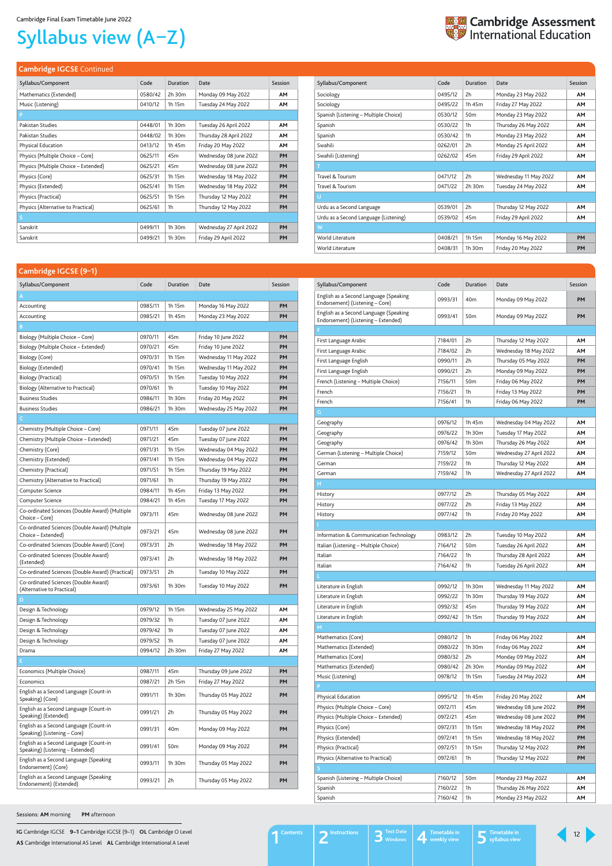**IG** Cambridge IGCSE **9–1** Cambridge IGCSE (9–1) **OL** Cambridge O Level **AS** Cambridge International AS Level **AL** Cambridge International A Level

## Syllabus view (A–Z)



### **Cambridge IGCSE** Continued

| Syllabus/Component                   | Code    | Duration        | Date                    | Session   |
|--------------------------------------|---------|-----------------|-------------------------|-----------|
| Mathematics (Extended)               | 0580/42 | 2h 30m          | Monday 09 May 2022      | <b>AM</b> |
| Music (Listening)                    | 0410/12 | 1h 15m          | Tuesday 24 May 2022     | <b>AM</b> |
| P                                    |         |                 |                         |           |
| Pakistan Studies                     | 0448/01 | 1h 30m          | Tuesday 26 April 2022   | AM        |
| Pakistan Studies                     | 0448/02 | 1h 30m          | Thursday 28 April 2022  | <b>AM</b> |
| Physical Education                   | 0413/12 | 1h 45m          | Friday 20 May 2022      | <b>AM</b> |
| Physics (Multiple Choice – Core)     | 0625/11 | 45 <sub>m</sub> | Wednesday 08 June 2022  | PM        |
| Physics (Multiple Choice - Extended) | 0625/21 | 45 <sub>m</sub> | Wednesday 08 June 2022  | <b>PM</b> |
| Physics (Core)                       | 0625/31 | 1h 15m          | Wednesday 18 May 2022   | PM        |
| Physics (Extended)                   | 0625/41 | 1h 15m          | Wednesday 18 May 2022   | PM        |
| Physics (Practical)                  | 0625/51 | 1h 15m          | Thursday 12 May 2022    | PM        |
| Physics (Alternative to Practical)   | 0625/61 | 1 <sub>h</sub>  | Thursday 12 May 2022    | <b>PM</b> |
| S.                                   |         |                 |                         |           |
| Sanskrit                             | 0499/11 | 1h 30m          | Wednesday 27 April 2022 | PM        |
| Sanskrit                             | 0499/21 | 1h 30m          | Friday 29 April 2022    | <b>PM</b> |

| Syllabus/Component                    | Code    | Duration        | Date                  | Session   |
|---------------------------------------|---------|-----------------|-----------------------|-----------|
| Sociology                             | 0495/12 | 2h              | Monday 23 May 2022    | AM        |
| Sociology                             | 0495/22 | 1h 45m          | Friday 27 May 2022    | AM        |
| Spanish (Listening – Multiple Choice) | 0530/12 | 50 <sub>m</sub> | Monday 23 May 2022    | AM        |
| Spanish                               | 0530/22 | 1h              | Thursday 26 May 2022  | AM        |
| Spanish                               | 0530/42 | 1h              | Monday 23 May 2022    | AM        |
| Swahili                               | 0262/01 | 2h              | Monday 25 April 2022  | AM        |
| Swahili (Listening)                   | 0262/02 | 45 <sub>m</sub> | Friday 29 April 2022  | <b>AM</b> |
| т                                     |         |                 |                       |           |
| Travel & Tourism                      | 0471/12 | 2h              | Wednesday 11 May 2022 | <b>AM</b> |
| Travel & Tourism                      | 0471/22 | 2h 30m          | Tuesday 24 May 2022   | <b>AM</b> |
| U                                     |         |                 |                       |           |
| Urdu as a Second Language             | 0539/01 | 2h              | Thursday 12 May 2022  | AM        |
| Urdu as a Second Language (Listening) | 0539/02 | 45 <sub>m</sub> | Friday 29 April 2022  | <b>AM</b> |
| W                                     |         |                 |                       |           |
| World Literature                      | 0408/21 | 1h 15m          | Monday 16 May 2022    | PM        |
| World Literature                      | 0408/31 | 1h 30m          | Friday 20 May 2022    | PM        |

#### <span id="page-11-0"></span>**Cambridge IGCSE (9–1)**

| Syllabus/Component                                                         | Code    | Duration        | Date                   | Session   |
|----------------------------------------------------------------------------|---------|-----------------|------------------------|-----------|
| A                                                                          |         |                 |                        |           |
| Accounting                                                                 | 0985/11 | 1h 15m          | Monday 16 May 2022     | <b>PM</b> |
| Accounting                                                                 | 0985/21 | 1h 45m          | Monday 23 May 2022     | <b>PM</b> |
| B                                                                          |         |                 |                        |           |
| Biology (Multiple Choice – Core)                                           | 0970/11 | 45m             | Friday 10 June 2022    | PM        |
| Biology (Multiple Choice - Extended)                                       | 0970/21 | 45m             | Friday 10 June 2022    | PM        |
| Biology (Core)                                                             | 0970/31 | 1h 15m          | Wednesday 11 May 2022  | PМ        |
| Biology (Extended)                                                         | 0970/41 | 1h 15m          | Wednesday 11 May 2022  | PМ        |
| Biology (Practical)                                                        | 0970/51 | 1h 15m          | Tuesday 10 May 2022    | PM        |
| Biology (Alternative to Practical)                                         | 0970/61 | 1h              | Tuesday 10 May 2022    | PМ        |
| <b>Business Studies</b>                                                    | 0986/11 | 1h 30m          | Friday 20 May 2022     | PM        |
| <b>Business Studies</b>                                                    | 0986/21 | 1h 30m          | Wednesday 25 May 2022  | PM        |
| c                                                                          |         |                 |                        |           |
| Chemistry (Multiple Choice – Core)                                         | 0971/11 | 45m             | Tuesday 07 June 2022   | PM        |
| Chemistry (Multiple Choice - Extended)                                     | 0971/21 | 45m             | Tuesday 07 June 2022   | PМ        |
| Chemistry (Core)                                                           | 0971/31 | 1h 15m          | Wednesday 04 May 2022  | <b>PM</b> |
| Chemistry (Extended)                                                       | 0971/41 | 1h 15m          | Wednesday 04 May 2022  | PM        |
| Chemistry (Practical)                                                      | 0971/51 | 1h 15m          | Thursday 19 May 2022   | PM        |
| Chemistry (Alternative to Practical)                                       | 0971/61 | 1h              | Thursday 19 May 2022   | <b>PM</b> |
| Computer Science                                                           | 0984/11 | 1h 45m          | Friday 13 May 2022     | PM        |
| Computer Science                                                           | 0984/21 | 1h 45m          | Tuesday 17 May 2022    | PΜ        |
| Co-ordinated Sciences (Double Award) (Multiple<br>Choice – Core)           | 0973/11 | 45m             | Wednesday 08 June 2022 | PM        |
| Co-ordinated Sciences (Double Award) (Multiple<br>Choice - Extended)       | 0973/21 | 45m             | Wednesday 08 June 2022 | PM        |
| Co-ordinated Sciences (Double Award) (Core)                                | 0973/31 | 2h              | Wednesday 18 May 2022  | PM        |
| Co-ordinated Sciences (Double Award)<br>(Extended)                         | 0973/41 | 2h              | Wednesday 18 May 2022  | PM        |
| Co-ordinated Sciences (Double Award) (Practical)                           | 0973/51 | 2h              | Tuesday 10 May 2022    | PM        |
| Co-ordinated Sciences (Double Award)<br>(Alternative to Practical)         | 0973/61 | 1h 30m          | Tuesday 10 May 2022    | PM        |
|                                                                            |         |                 |                        |           |
| Design & Technology                                                        | 0979/12 | 1h 15m          | Wednesday 25 May 2022  | AΜ        |
| Design & Technology                                                        | 0979/32 | 1h              | Tuesday 07 June 2022   | AΜ        |
| Design & Technology                                                        | 0979/42 | 1h              | Tuesday 07 June 2022   | AΜ        |
| Design & Technology                                                        | 0979/52 | 1h              | Tuesday 07 June 2022   | AΜ        |
| Drama                                                                      | 0994/12 | 2h 30m          | Friday 27 May 2022     | AΜ        |
| E.                                                                         |         |                 |                        |           |
| Economics (Multiple Choice)                                                | 0987/11 | 45m             | Thursday 09 June 2022  | PΜ        |
| Economics                                                                  | 0987/21 | 2h 15m          | Friday 27 May 2022     | PМ        |
| English as a Second Language (Count-in<br>Speaking) (Core)                 | 0991/11 | 1h 30m          | Thursday 05 May 2022   | PM        |
| English as a Second Language (Count-in<br>Speaking) (Extended)             | 0991/21 | 2h              | Thursday 05 May 2022   | PM        |
| English as a Second Language (Count-in<br>Speaking) (Listening - Core)     | 0991/31 | 40 <sub>m</sub> | Monday 09 May 2022     | PM        |
| English as a Second Language (Count-in<br>Speaking) (Listening - Extended) | 0991/41 | 50 <sub>m</sub> | Monday 09 May 2022     | PM        |
| English as a Second Language (Speaking<br>Endorsement) (Core)              | 0993/11 | 1h 30m          | Thursday 05 May 2022   | PM        |
| English as a Second Language (Speaking<br>Endorsement) (Extended)          | 0993/21 | 2h              | Thursday 05 May 2022   | PM        |

| Syllabus/Component                                                            | Code    | Duration        | Date                    | Session |
|-------------------------------------------------------------------------------|---------|-----------------|-------------------------|---------|
| English as a Second Language (Speaking<br>Endorsement) (Listening - Core)     | 0993/31 | 40 <sub>m</sub> | Monday 09 May 2022      | PМ      |
| English as a Second Language (Speaking<br>Endorsement) (Listening - Extended) | 0993/41 | 50 <sub>m</sub> | Monday 09 May 2022      | PM      |
|                                                                               |         |                 |                         |         |
| First Language Arabic                                                         | 7184/01 | 2h              | Thursday 12 May 2022    | ΑМ      |
| First Language Arabic                                                         | 7184/02 | 2h              | Wednesday 18 May 2022   | AΜ      |
| First Language English                                                        | 0990/11 | 2h              | Thursday 05 May 2022    | PM      |
| First Language English                                                        | 0990/21 | 2h              | Monday 09 May 2022      | PM      |
| French (Listening - Multiple Choice)                                          | 7156/11 | 50 <sub>m</sub> | Friday 06 May 2022      | PМ      |
| French                                                                        | 7156/21 | 1h              | Friday 13 May 2022      | PM      |
| French                                                                        | 7156/41 | 1h              | Friday 06 May 2022      | PM      |
| G                                                                             |         |                 |                         |         |
| Geography                                                                     | 0976/12 | 1h 45m          | Wednesday 04 May 2022   | AΜ      |
| Geography                                                                     | 0976/22 | 1h 30m          | Tuesday 17 May 2022     | AΜ      |
| Geography                                                                     | 0976/42 | 1h 30m          | Thursday 26 May 2022    | AΜ      |
| German (Listening – Multiple Choice)                                          | 7159/12 | 50 <sub>m</sub> | Wednesday 27 April 2022 | AΜ      |
| German                                                                        | 7159/22 | 1h              | Thursday 12 May 2022    | AΜ      |
| German                                                                        | 7159/42 | 1h              | Wednesday 27 April 2022 | AΜ      |
| н                                                                             |         |                 |                         |         |
| History                                                                       | 0977/12 | 2h              | Thursday 05 May 2022    | AΜ      |
| History                                                                       | 0977/22 | 2h              | Friday 13 May 2022      | AΜ      |
| History                                                                       | 0977/42 | 1h              | Friday 20 May 2022      | AΜ      |
|                                                                               |         |                 |                         |         |
| Information & Communication Technology                                        | 0983/12 | 2h              | Tuesday 10 May 2022     | AΜ      |
| Italian (Listening – Multiple Choice)                                         | 7164/12 | 50 <sub>m</sub> | Tuesday 26 April 2022   | AΜ      |
| Italian                                                                       | 7164/22 | 1h              | Thursday 28 April 2022  | ΑМ      |
| Italian                                                                       | 7164/42 | 1h              | Tuesday 26 April 2022   | AΜ      |
|                                                                               |         |                 |                         |         |
| Literature in English                                                         | 0992/12 | 1h 30m          | Wednesday 11 May 2022   | AΜ      |
| Literature in English                                                         | 0992/22 | 1h 30m          | Thursday 19 May 2022    | AΜ      |
| Literature in English                                                         | 0992/32 | 45m             | Thursday 19 May 2022    | AΜ      |
| Literature in English                                                         | 0992/42 | 1h 15m          | Thursday 19 May 2022    | AΜ      |
| M                                                                             |         |                 |                         |         |
| Mathematics (Core)                                                            | 0980/12 | 1h              | Friday 06 May 2022      | AΜ      |
| Mathematics (Extended)                                                        | 0980/22 | 1h 30m          | Friday 06 May 2022      | AΜ      |
| Mathematics (Core)                                                            | 0980/32 | 2h              | Monday 09 May 2022      | AΜ      |
| Mathematics (Extended)                                                        | 0980/42 | 2h 30m          | Monday 09 May 2022      | AΜ      |
| Music (Listening)                                                             | 0978/12 | 1h 15m          | Tuesday 24 May 2022     | AΜ      |
| P                                                                             |         |                 |                         |         |
| Physical Education                                                            | 0995/12 | 1h 45m          | Friday 20 May 2022      | AΜ      |
| Physics (Multiple Choice - Core)                                              | 0972/11 | 45m             | Wednesday 08 June 2022  | PM      |
| Physics (Multiple Choice - Extended)                                          | 0972/21 | 45m             | Wednesday 08 June 2022  | PM      |
| Physics (Core)                                                                | 0972/31 | 1h 15m          | Wednesday 18 May 2022   | PM      |
| Physics (Extended)                                                            | 0972/41 | 1h 15m          | Wednesday 18 May 2022   | PM      |
| Physics (Practical)                                                           | 0972/51 | 1h 15m          | Thursday 12 May 2022    | PM      |
| Physics (Alternative to Practical)                                            | 0972/61 | 1h              | Thursday 12 May 2022    | PM      |
| S                                                                             |         |                 |                         |         |
| Spanish (Listening - Multiple Choice)                                         | 7160/12 | 50 <sub>m</sub> | Monday 23 May 2022      | AΜ      |
| Spanish                                                                       | 7160/22 | 1h              | Thursday 26 May 2022    | AΜ      |
| Spanish                                                                       | 7160/42 | 1h              | Monday 23 May 2022      | ΑМ      |

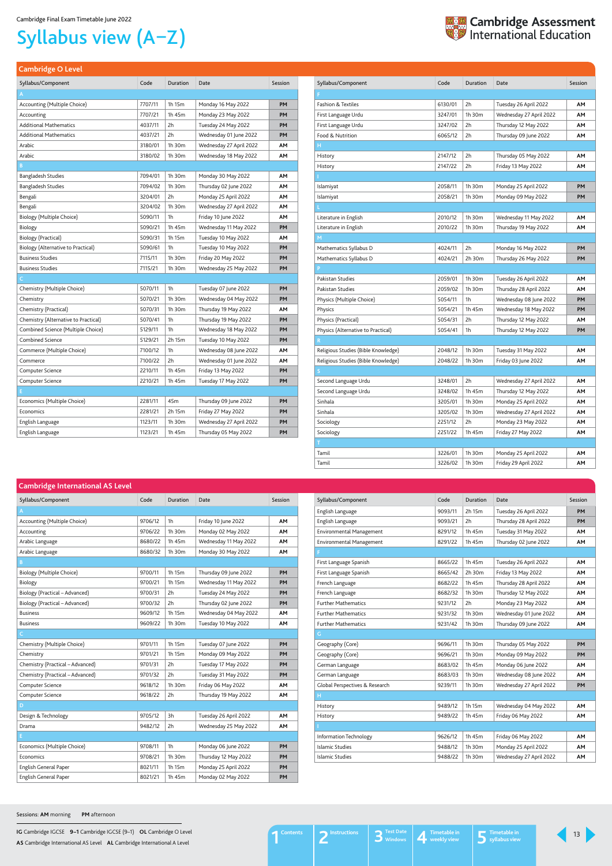**IG** Cambridge IGCSE **9–1** Cambridge IGCSE (9–1) **OL** Cambridge O Level **AS** Cambridge International AS Level **AL** Cambridge International A Level

# Syllabus view (A–Z)

## <span id="page-12-1"></span>**Cambridge International AS Level**

| Syllabus/Component               | Code    | <b>Duration</b> | Date                  | Session   |
|----------------------------------|---------|-----------------|-----------------------|-----------|
| Α                                |         |                 |                       |           |
| Accounting (Multiple Choice)     | 9706/12 | 1h              | Friday 10 June 2022   | <b>AM</b> |
| Accounting                       | 9706/22 | 1h 30m          | Monday 02 May 2022    | AΜ        |
| Arabic Language                  | 8680/22 | 1h 45m          | Wednesday 11 May 2022 | <b>AM</b> |
| Arabic Language                  | 8680/32 | 1h 30m          | Monday 30 May 2022    | <b>AM</b> |
| B                                |         |                 |                       |           |
| Biology (Multiple Choice)        | 9700/11 | 1h 15m          | Thursday 09 June 2022 | PM        |
| Biology                          | 9700/21 | 1h 15m          | Wednesday 11 May 2022 | PM        |
| Biology (Practical - Advanced)   | 9700/31 | 2h              | Tuesday 24 May 2022   | <b>PM</b> |
| Biology (Practical - Advanced)   | 9700/32 | 2h              | Thursday 02 June 2022 | PM        |
| <b>Business</b>                  | 9609/12 | 1h 15m          | Wednesday 04 May 2022 | AΜ        |
| <b>Business</b>                  | 9609/22 | 1h 30m          | Tuesday 10 May 2022   | AΜ        |
| C.                               |         |                 |                       |           |
| Chemistry (Multiple Choice)      | 9701/11 | 1h 15m          | Tuesday 07 June 2022  | PМ        |
| Chemistry                        | 9701/21 | 1h 15m          | Monday 09 May 2022    | PМ        |
| Chemistry (Practical - Advanced) | 9701/31 | 2h              | Tuesday 17 May 2022   | PМ        |
| Chemistry (Practical - Advanced) | 9701/32 | 2h              | Tuesday 31 May 2022   | PМ        |
| Computer Science                 | 9618/12 | 1h 30m          | Friday 06 May 2022    | AΜ        |
| Computer Science                 | 9618/22 | 2h              | Thursday 19 May 2022  | AΜ        |
| D                                |         |                 |                       |           |
| Design & Technology              | 9705/12 | 3h              | Tuesday 26 April 2022 | AM        |
| Drama                            | 9482/12 | 2h              | Wednesday 25 May 2022 | AM        |
| F                                |         |                 |                       |           |
| Economics (Multiple Choice)      | 9708/11 | 1 <sub>h</sub>  | Monday 06 June 2022   | <b>PM</b> |
| Economics                        | 9708/21 | 1h 30m          | Thursday 12 May 2022  | PM        |
| English General Paper            | 8021/11 | 1h 15m          | Monday 25 April 2022  | PM        |
| <b>English General Paper</b>     | 8021/21 | 1h 45m          | Monday 02 May 2022    | PM        |

| Syllabus/Component              | Code    | Duration | Date                    | Session   |
|---------------------------------|---------|----------|-------------------------|-----------|
| English Language                | 9093/11 | 2h 15m   | Tuesday 26 April 2022   | <b>PM</b> |
| English Language                | 9093/21 | 2h       | Thursday 28 April 2022  | <b>PM</b> |
| <b>Environmental Management</b> | 8291/12 | 1h 45m   | Tuesday 31 May 2022     | AΜ        |
| <b>Environmental Management</b> | 8291/22 | 1h 45m   | Thursday 02 June 2022   | AΜ        |
|                                 |         |          |                         |           |
| First Language Spanish          | 8665/22 | 1h 45m   | Tuesday 26 April 2022   | AΜ        |
| First Language Spanish          | 8665/42 | 2h 30m   | Friday 13 May 2022      | AΜ        |
| French Language                 | 8682/22 | 1h 45m   | Thursday 28 April 2022  | AΜ        |
| French Language                 | 8682/32 | 1h 30m   | Thursday 12 May 2022    | AМ        |
| <b>Further Mathematics</b>      | 9231/12 | 2h       | Monday 23 May 2022      | AM        |
| <b>Further Mathematics</b>      | 9231/32 | 1h 30m   | Wednesday 01 June 2022  | AΜ        |
| <b>Further Mathematics</b>      | 9231/42 | 1h 30m   | Thursday 09 June 2022   | AΜ        |
| G                               |         |          |                         |           |
| Geography (Core)                | 9696/11 | 1h 30m   | Thursday 05 May 2022    | PM        |
| Geography (Core)                | 9696/21 | 1h 30m   | Monday 09 May 2022      | <b>PM</b> |
| German Language                 | 8683/02 | 1h 45m   | Monday 06 June 2022     | AМ        |
| German Language                 | 8683/03 | 1h 30m   | Wednesday 08 June 2022  | AΜ        |
| Global Perspectives & Research  | 9239/11 | 1h 30m   | Wednesday 27 April 2022 | <b>PM</b> |
| H                               |         |          |                         |           |
| History                         | 9489/12 | 1h 15m   | Wednesday 04 May 2022   | AM        |
| History                         | 9489/22 | 1h 45m   | Friday 06 May 2022      | AΜ        |
|                                 |         |          |                         |           |
| Information Technology          | 9626/12 | 1h 45m   | Friday 06 May 2022      | AM        |
| Islamic Studies                 | 9488/12 | 1h 30m   | Monday 25 April 2022    | AМ        |
| Islamic Studies                 | 9488/22 | 1h 30m   | Wednesday 27 April 2022 | AM        |



<span id="page-12-0"></span>

|  |  | <b>Cambridge O Level</b> |
|--|--|--------------------------|
|  |  |                          |

| Syllabus/Component                  | Code    | Duration    | Date                    | Session |
|-------------------------------------|---------|-------------|-------------------------|---------|
|                                     |         |             |                         |         |
| <b>Fashion &amp; Textiles</b>       | 6130/01 | 2h          | Tuesday 26 April 2022   | ΑМ      |
| First Language Urdu                 | 3247/01 | 1h 30m      | Wednesday 27 April 2022 | AΜ      |
| First Language Urdu                 | 3247/02 | 2h          | Thursday 12 May 2022    | ΑМ      |
| Food & Nutrition                    | 6065/12 | 2h          | Thursday 09 June 2022   | ΑМ      |
| Н                                   |         |             |                         |         |
| History                             | 2147/12 | 2h          | Thursday 05 May 2022    | AΜ      |
| History                             | 2147/22 | 2h          | Friday 13 May 2022      | AΜ      |
|                                     |         |             |                         |         |
| Islamiyat                           | 2058/11 | 1h 30m      | Monday 25 April 2022    | PM      |
| Islamiyat                           | 2058/21 | 1h 30m      | Monday 09 May 2022      | PМ      |
|                                     |         |             |                         |         |
| Literature in English               | 2010/12 | 1h 30m      | Wednesday 11 May 2022   | AM      |
| Literature in English               | 2010/22 | 1h 30m      | Thursday 19 May 2022    | AΜ      |
| М                                   |         |             |                         |         |
| Mathematics Syllabus D              | 4024/11 | 2h          | Monday 16 May 2022      | PM      |
| Mathematics Syllabus D              | 4024/21 | 2h 30m      | Thursday 26 May 2022    | PМ      |
| P                                   |         |             |                         |         |
| Pakistan Studies                    | 2059/01 | 1h 30m      | Tuesday 26 April 2022   | AΜ      |
| Pakistan Studies                    | 2059/02 | 1h 30m      | Thursday 28 April 2022  | ΑМ      |
| Physics (Multiple Choice)           | 5054/11 | 1h          | Wednesday 08 June 2022  | PM      |
| Physics                             | 5054/21 | 1h 45m      | Wednesday 18 May 2022   | PM      |
| Physics (Practical)                 | 5054/31 | 2h          | Thursday 12 May 2022    | ΑМ      |
| Physics (Alternative to Practical)  | 5054/41 | 1h          | Thursday 12 May 2022    | PM      |
| R                                   |         |             |                         |         |
| Religious Studies (Bible Knowledge) | 2048/12 | 1h 30m      | Tuesday 31 May 2022     | ΑМ      |
| Religious Studies (Bible Knowledge) | 2048/22 | 1h 30m      | Friday 03 June 2022     | ΑМ      |
| S                                   |         |             |                         |         |
| Second Language Urdu                | 3248/01 | 2h          | Wednesday 27 April 2022 | ΑМ      |
| Second Language Urdu                | 3248/02 | 1h 45m      | Thursday 12 May 2022    | AΜ      |
| Sinhala                             | 3205/01 | $1h$ 30 $m$ | Monday 25 April 2022    | ΑМ      |
| Sinhala                             | 3205/02 | 1h 30m      | Wednesday 27 April 2022 | AΜ      |
| Sociology                           | 2251/12 | 2h          | Monday 23 May 2022      | ΑМ      |
| Sociology                           | 2251/22 | 1h 45m      | Friday 27 May 2022      | ΑМ      |
| T.                                  |         |             |                         |         |
| Tamil                               | 3226/01 | 1h 30m      | Monday 25 April 2022    | ΑМ      |
| Tamil                               | 3226/02 | 1h 30m      | Friday 29 April 2022    | ΑМ      |

| Syllabus/Component                   | Code    | Duration       | Date                    | Session |
|--------------------------------------|---------|----------------|-------------------------|---------|
| A                                    |         |                |                         |         |
| Accounting (Multiple Choice)         | 7707/11 | 1h 15m         | Monday 16 May 2022      | PM      |
| Accounting                           | 7707/21 | 1h 45m         | Monday 23 May 2022      | PM      |
| <b>Additional Mathematics</b>        | 4037/11 | 2h             | Tuesday 24 May 2022     | PM      |
| Additional Mathematics               | 4037/21 | 2h             | Wednesday 01 June 2022  | PМ      |
| Arabic                               | 3180/01 | 1h 30m         | Wednesday 27 April 2022 | AΜ      |
| Arabic                               | 3180/02 | 1h 30m         | Wednesday 18 May 2022   | AM      |
| B                                    |         |                |                         |         |
| <b>Bangladesh Studies</b>            | 7094/01 | 1h 30m         | Monday 30 May 2022      | ΑМ      |
| <b>Bangladesh Studies</b>            | 7094/02 | 1h 30m         | Thursday 02 June 2022   | ΑМ      |
| Bengali                              | 3204/01 | 2h             | Monday 25 April 2022    | ΑМ      |
| Bengali                              | 3204/02 | 1h 30m         | Wednesday 27 April 2022 | ΑМ      |
| Biology (Multiple Choice)            | 5090/11 | 1 <sub>h</sub> | Friday 10 June 2022     | AM      |
| Biology                              | 5090/21 | 1h 45m         | Wednesday 11 May 2022   | PМ      |
| <b>Biology (Practical)</b>           | 5090/31 | 1h 15m         | Tuesday 10 May 2022     | AΜ      |
| Biology (Alternative to Practical)   | 5090/61 | 1h             | Tuesday 10 May 2022     | PM      |
| <b>Business Studies</b>              | 7115/11 | 1h 30m         | Friday 20 May 2022      | PM      |
| <b>Business Studies</b>              | 7115/21 | 1h 30m         | Wednesday 25 May 2022   | PM      |
| c                                    |         |                |                         |         |
| Chemistry (Multiple Choice)          | 5070/11 | 1h             | Tuesday 07 June 2022    | PΜ      |
| Chemistry                            | 5070/21 | 1h 30m         | Wednesday 04 May 2022   | PM      |
| Chemistry (Practical)                | 5070/31 | 1h 30m         | Thursday 19 May 2022    | AM      |
| Chemistry (Alternative to Practical) | 5070/41 | 1h             | Thursday 19 May 2022    | PM      |
| Combined Science (Multiple Choice)   | 5129/11 | 1h             | Wednesday 18 May 2022   | PM      |
| <b>Combined Science</b>              | 5129/21 | 2h 15m         | Tuesday 10 May 2022     | PM      |
| Commerce (Multiple Choice)           | 7100/12 | 1h             | Wednesday 08 June 2022  | AΜ      |
| Commerce                             | 7100/22 | 2h             | Wednesday 01 June 2022  | AΜ      |
| Computer Science                     | 2210/11 | 1h 45m         | Friday 13 May 2022      | PM      |
| Computer Science                     | 2210/21 | 1h 45m         | Tuesday 17 May 2022     | PM      |
| E.                                   |         |                |                         |         |
| Economics (Multiple Choice)          | 2281/11 | 45m            | Thursday 09 June 2022   | PM      |
| Economics                            | 2281/21 | 2h 15m         | Friday 27 May 2022      | PM      |
| English Language                     | 1123/11 | 1h 30m         | Wednesday 27 April 2022 | PM      |
| English Language                     | 1123/21 | 1h 45m         | Thursday 05 May 2022    | PM      |